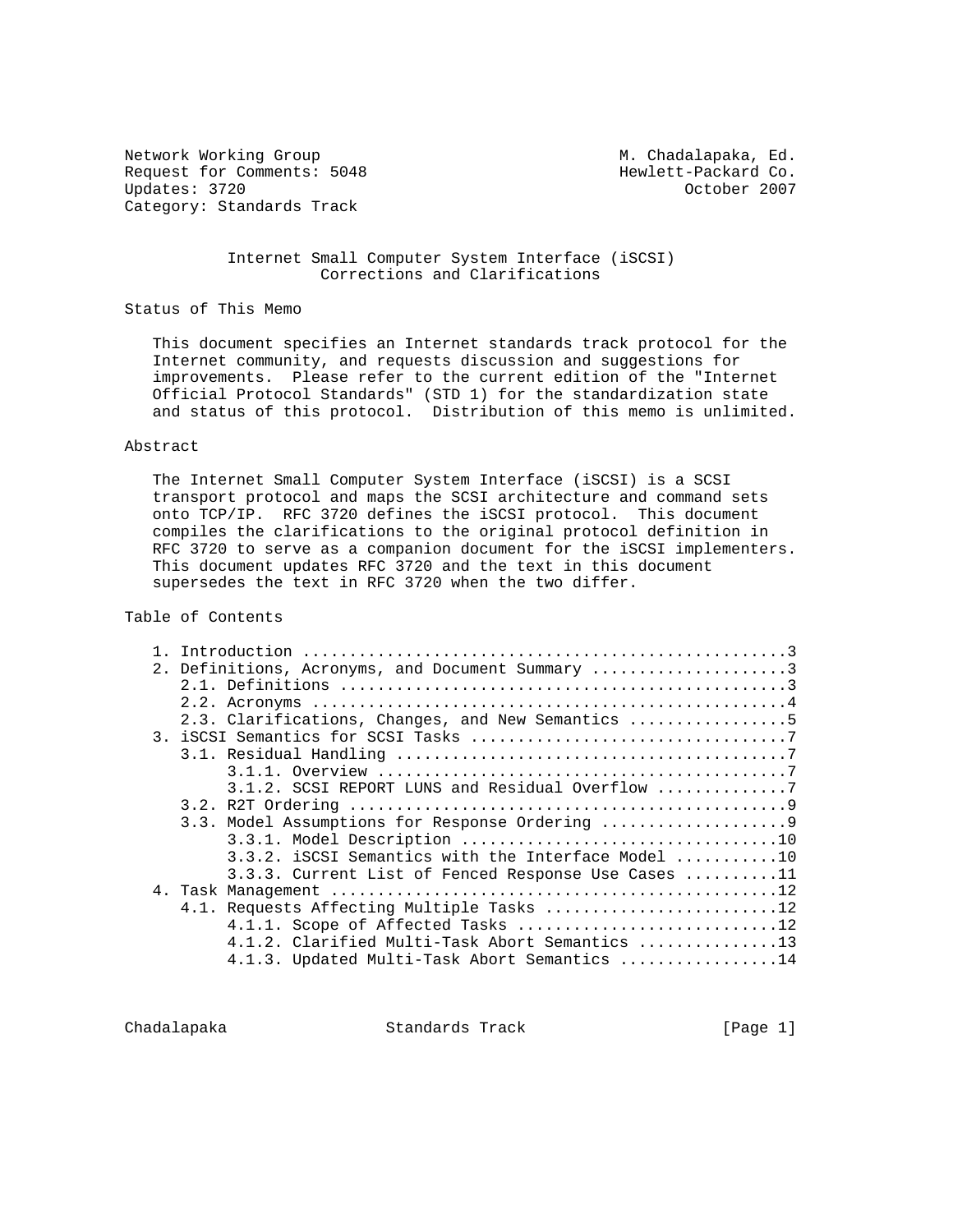Network Working Group M. Chadalapaka, Ed. Request for Comments: 5048 Hewlett-Packard Co.<br>Updates: 3720 0ctober 2007 Updates: 3720 Category: Standards Track

## Internet Small Computer System Interface (iSCSI) Corrections and Clarifications

Status of This Memo

 This document specifies an Internet standards track protocol for the Internet community, and requests discussion and suggestions for improvements. Please refer to the current edition of the "Internet Official Protocol Standards" (STD 1) for the standardization state and status of this protocol. Distribution of this memo is unlimited.

## Abstract

 The Internet Small Computer System Interface (iSCSI) is a SCSI transport protocol and maps the SCSI architecture and command sets onto TCP/IP. RFC 3720 defines the iSCSI protocol. This document compiles the clarifications to the original protocol definition in RFC 3720 to serve as a companion document for the iSCSI implementers. This document updates RFC 3720 and the text in this document supersedes the text in RFC 3720 when the two differ.

Table of Contents

|  | 2. Definitions, Acronyms, and Document Summary 3    |
|--|-----------------------------------------------------|
|  |                                                     |
|  |                                                     |
|  | 2.3. Clarifications, Changes, and New Semantics 5   |
|  |                                                     |
|  |                                                     |
|  |                                                     |
|  | 3.1.2. SCSI REPORT LUNS and Residual Overflow 7     |
|  |                                                     |
|  |                                                     |
|  |                                                     |
|  | 3.3.2. iSCSI Semantics with the Interface Model 10  |
|  | 3.3.3. Current List of Fenced Response Use Cases 11 |
|  |                                                     |
|  | 4.1. Requests Affecting Multiple Tasks 12           |
|  | 4.1.1. Scope of Affected Tasks 12                   |
|  | 4.1.2. Clarified Multi-Task Abort Semantics 13      |
|  | 4.1.3. Updated Multi-Task Abort Semantics 14        |
|  |                                                     |

Chadalapaka Standards Track [Page 1]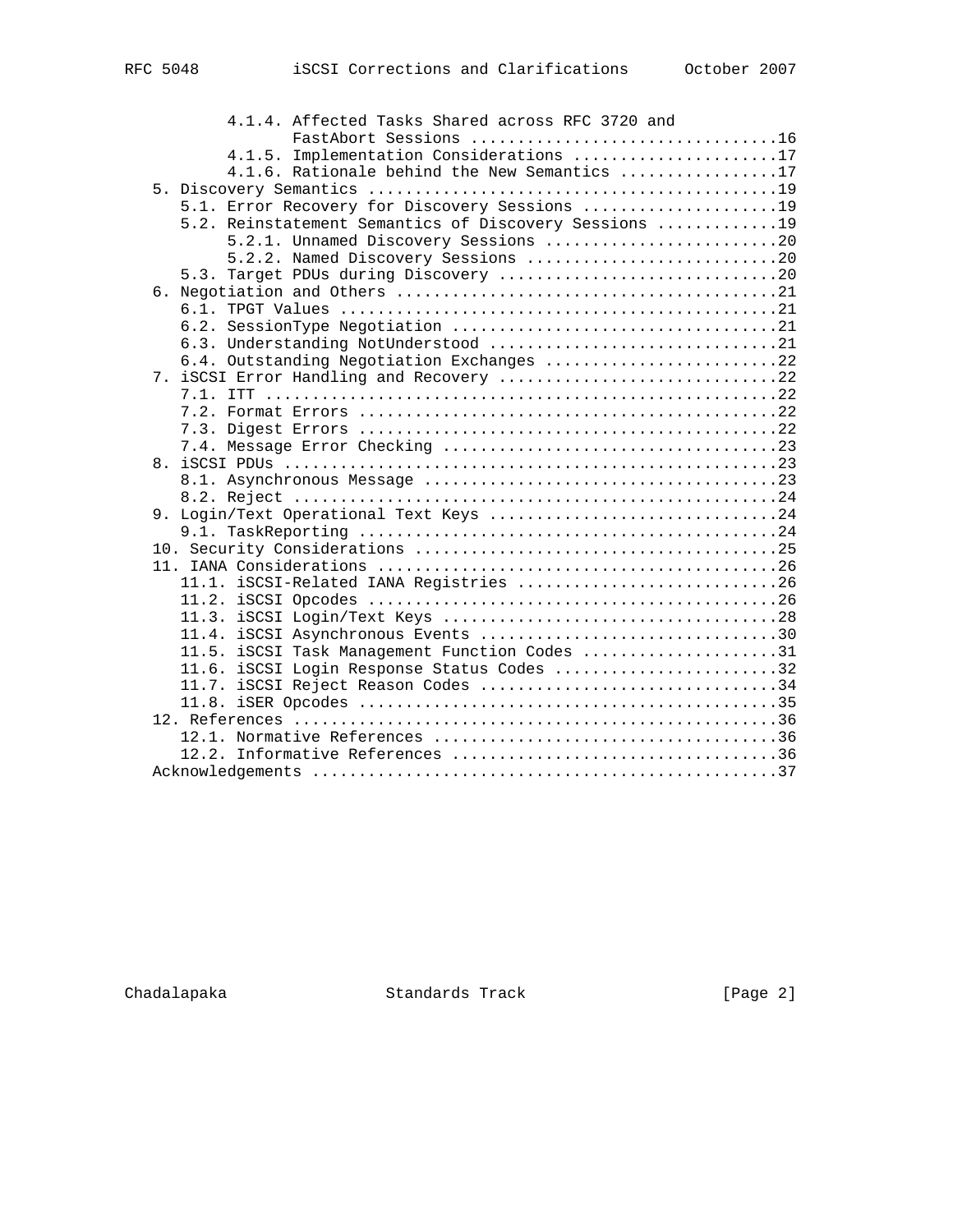|  | 4.1.4. Affected Tasks Shared across RFC 3720 and      |  |
|--|-------------------------------------------------------|--|
|  | FastAbort Sessions 16                                 |  |
|  | 4.1.5. Implementation Considerations 17               |  |
|  | 4.1.6. Rationale behind the New Semantics 17          |  |
|  |                                                       |  |
|  | 5.1. Error Recovery for Discovery Sessions 19         |  |
|  | 5.2. Reinstatement Semantics of Discovery Sessions 19 |  |
|  | 5.2.1. Unnamed Discovery Sessions 20                  |  |
|  | 5.2.2. Named Discovery Sessions 20                    |  |
|  | 5.3. Target PDUs during Discovery 20                  |  |
|  |                                                       |  |
|  |                                                       |  |
|  |                                                       |  |
|  | 6.3. Understanding NotUnderstood 21                   |  |
|  | 6.4. Outstanding Negotiation Exchanges 22             |  |
|  | 7. iSCSI Error Handling and Recovery 22               |  |
|  |                                                       |  |
|  |                                                       |  |
|  |                                                       |  |
|  |                                                       |  |
|  |                                                       |  |
|  |                                                       |  |
|  |                                                       |  |
|  | 9. Login/Text Operational Text Keys 24                |  |
|  |                                                       |  |
|  |                                                       |  |
|  |                                                       |  |
|  | 11.1. iSCSI-Related IANA Registries 26                |  |
|  |                                                       |  |
|  |                                                       |  |
|  |                                                       |  |
|  | 11.5. iSCSI Task Management Function Codes 31         |  |
|  | 11.6. iSCSI Login Response Status Codes 32            |  |
|  | 11.7. iSCSI Reject Reason Codes 34                    |  |
|  |                                                       |  |
|  |                                                       |  |
|  |                                                       |  |
|  |                                                       |  |
|  |                                                       |  |

Chadalapaka Standards Track [Page 2]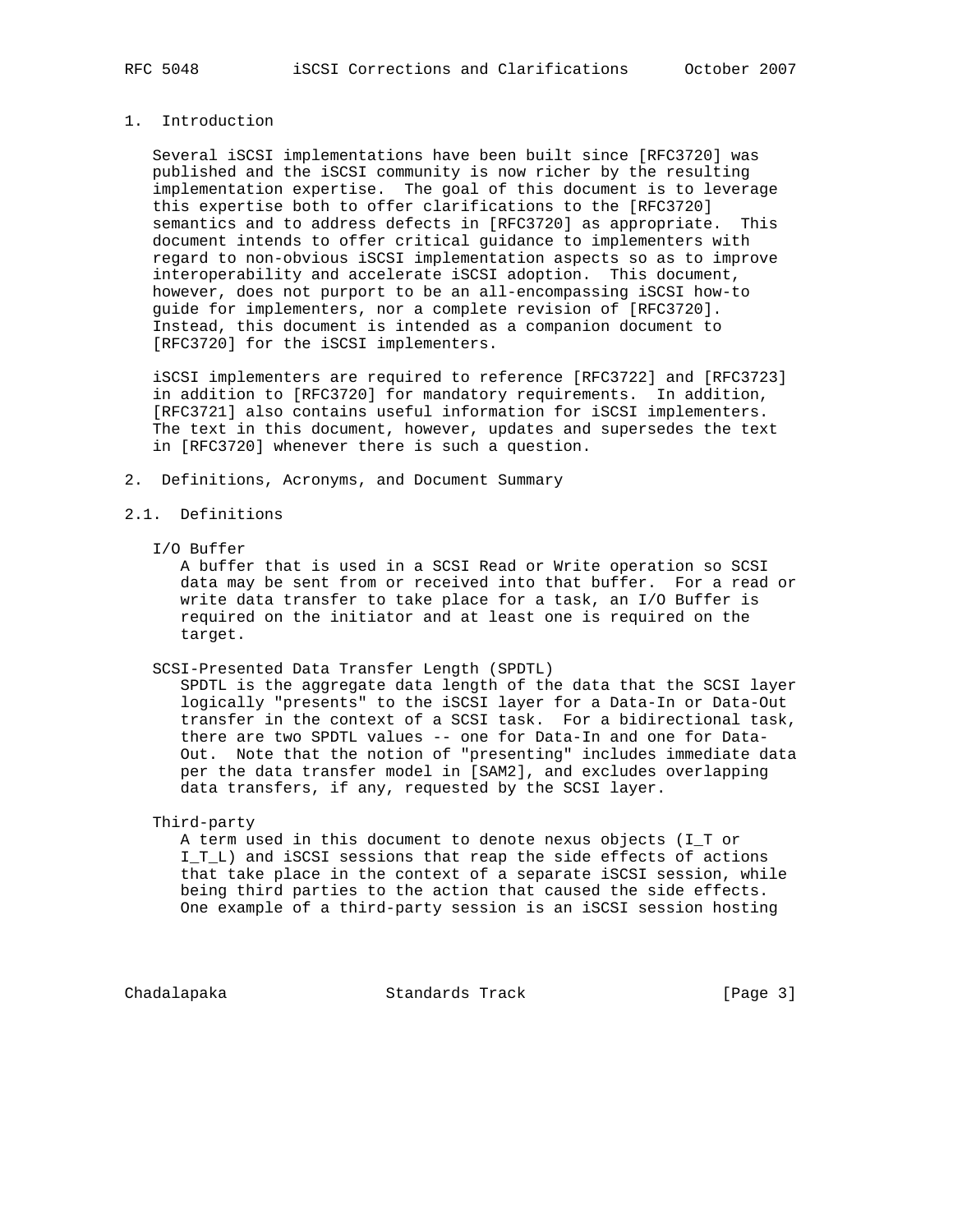## 1. Introduction

 Several iSCSI implementations have been built since [RFC3720] was published and the iSCSI community is now richer by the resulting implementation expertise. The goal of this document is to leverage this expertise both to offer clarifications to the [RFC3720] semantics and to address defects in [RFC3720] as appropriate. This document intends to offer critical guidance to implementers with regard to non-obvious iSCSI implementation aspects so as to improve interoperability and accelerate iSCSI adoption. This document, however, does not purport to be an all-encompassing iSCSI how-to guide for implementers, nor a complete revision of [RFC3720]. Instead, this document is intended as a companion document to [RFC3720] for the iSCSI implementers.

 iSCSI implementers are required to reference [RFC3722] and [RFC3723] in addition to [RFC3720] for mandatory requirements. In addition, [RFC3721] also contains useful information for iSCSI implementers. The text in this document, however, updates and supersedes the text in [RFC3720] whenever there is such a question.

2. Definitions, Acronyms, and Document Summary

#### 2.1. Definitions

#### I/O Buffer

 A buffer that is used in a SCSI Read or Write operation so SCSI data may be sent from or received into that buffer. For a read or write data transfer to take place for a task, an I/O Buffer is required on the initiator and at least one is required on the target.

#### SCSI-Presented Data Transfer Length (SPDTL)

 SPDTL is the aggregate data length of the data that the SCSI layer logically "presents" to the iSCSI layer for a Data-In or Data-Out transfer in the context of a SCSI task. For a bidirectional task, there are two SPDTL values -- one for Data-In and one for Data- Out. Note that the notion of "presenting" includes immediate data per the data transfer model in [SAM2], and excludes overlapping data transfers, if any, requested by the SCSI layer.

### Third-party

 A term used in this document to denote nexus objects (I\_T or I\_T\_L) and iSCSI sessions that reap the side effects of actions that take place in the context of a separate iSCSI session, while being third parties to the action that caused the side effects. One example of a third-party session is an iSCSI session hosting

Chadalapaka Standards Track [Page 3]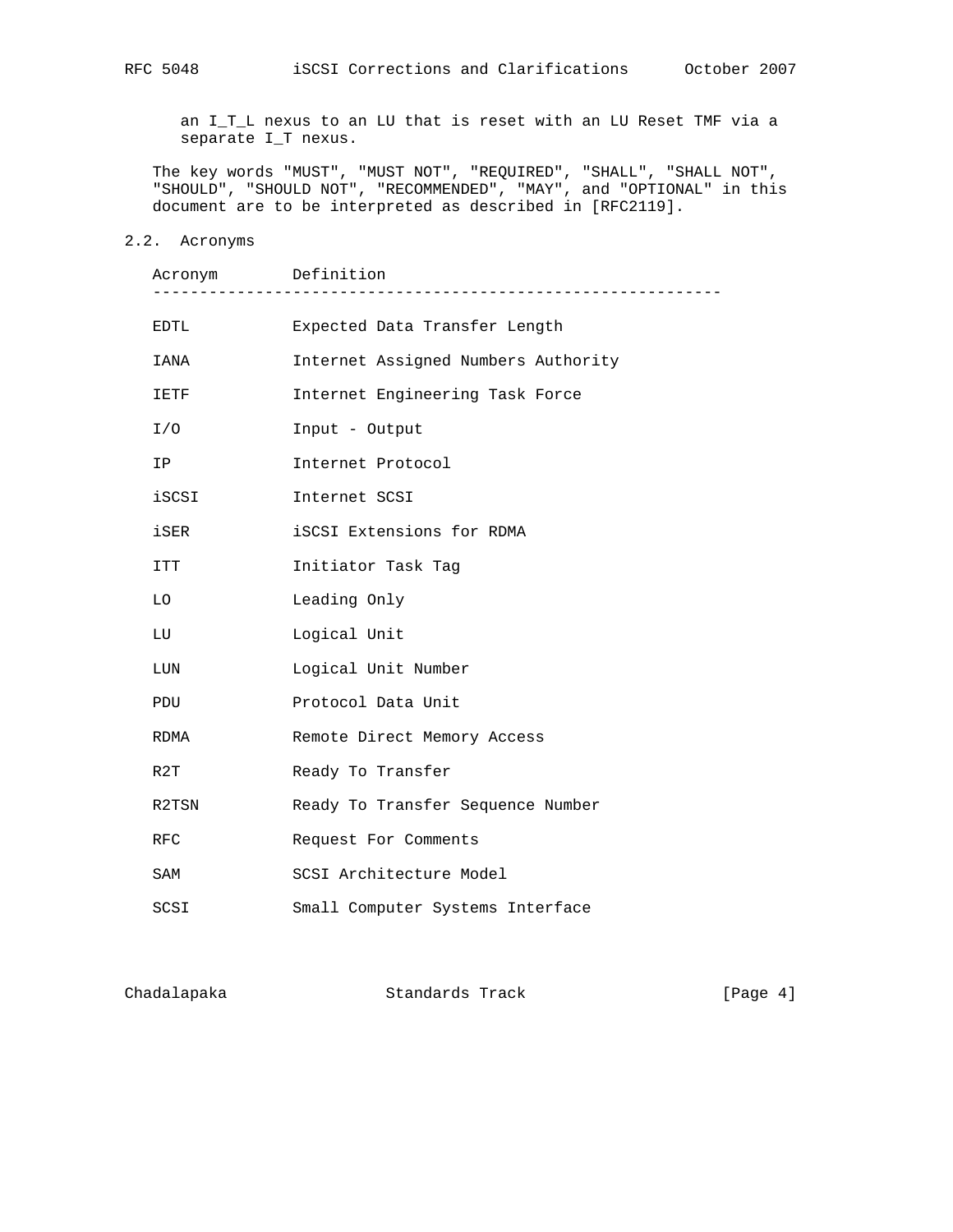an I\_T\_L nexus to an LU that is reset with an LU Reset TMF via a separate I\_T nexus.

 The key words "MUST", "MUST NOT", "REQUIRED", "SHALL", "SHALL NOT", "SHOULD", "SHOULD NOT", "RECOMMENDED", "MAY", and "OPTIONAL" in this document are to be interpreted as described in [RFC2119].

#### 2.2. Acronyms

|            | Acronym Definition                  |
|------------|-------------------------------------|
| EDTL       | Expected Data Transfer Length       |
| IANA       | Internet Assigned Numbers Authority |
| IETF       | Internet Engineering Task Force     |
| I/O        | Input - Output                      |
| ΙP         | Internet Protocol                   |
| iSCSI      | Internet SCSI                       |
| iSER       | iSCSI Extensions for RDMA           |
| ITT        | Initiator Task Tag                  |
| LO         | Leading Only                        |
| LU         | Logical Unit                        |
| LUN        | Logical Unit Number                 |
| PDU        | Protocol Data Unit                  |
| RDMA       | Remote Direct Memory Access         |
| R2T        | Ready To Transfer                   |
| R2TSN      | Ready To Transfer Sequence Number   |
| <b>RFC</b> | Request For Comments                |
| SAM        | SCSI Architecture Model             |
| SCSI       | Small Computer Systems Interface    |

Chadalapaka Standards Track [Page 4]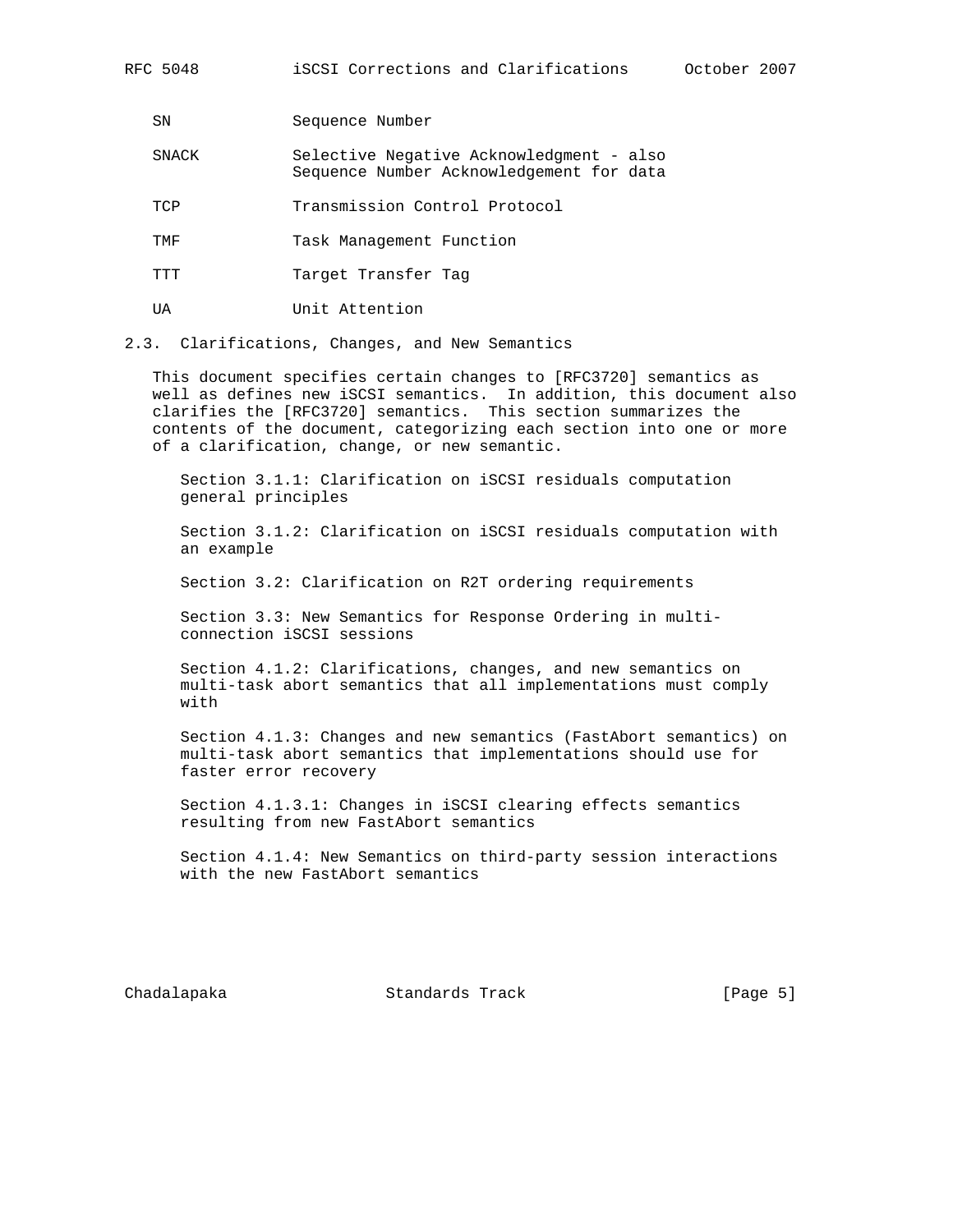RFC 5048 iSCSI Corrections and Clarifications October 2007

SN Sequence Number

SNACK Selective Negative Acknowledgment - also Sequence Number Acknowledgement for data

TCP Transmission Control Protocol

TMF Task Management Function

TTT Target Transfer Tag

UA Unit Attention

2.3. Clarifications, Changes, and New Semantics

 This document specifies certain changes to [RFC3720] semantics as well as defines new iSCSI semantics. In addition, this document also clarifies the [RFC3720] semantics. This section summarizes the contents of the document, categorizing each section into one or more of a clarification, change, or new semantic.

 Section 3.1.1: Clarification on iSCSI residuals computation general principles

 Section 3.1.2: Clarification on iSCSI residuals computation with an example

Section 3.2: Clarification on R2T ordering requirements

 Section 3.3: New Semantics for Response Ordering in multi connection iSCSI sessions

 Section 4.1.2: Clarifications, changes, and new semantics on multi-task abort semantics that all implementations must comply with

 Section 4.1.3: Changes and new semantics (FastAbort semantics) on multi-task abort semantics that implementations should use for faster error recovery

 Section 4.1.3.1: Changes in iSCSI clearing effects semantics resulting from new FastAbort semantics

 Section 4.1.4: New Semantics on third-party session interactions with the new FastAbort semantics

Chadalapaka Standards Track [Page 5]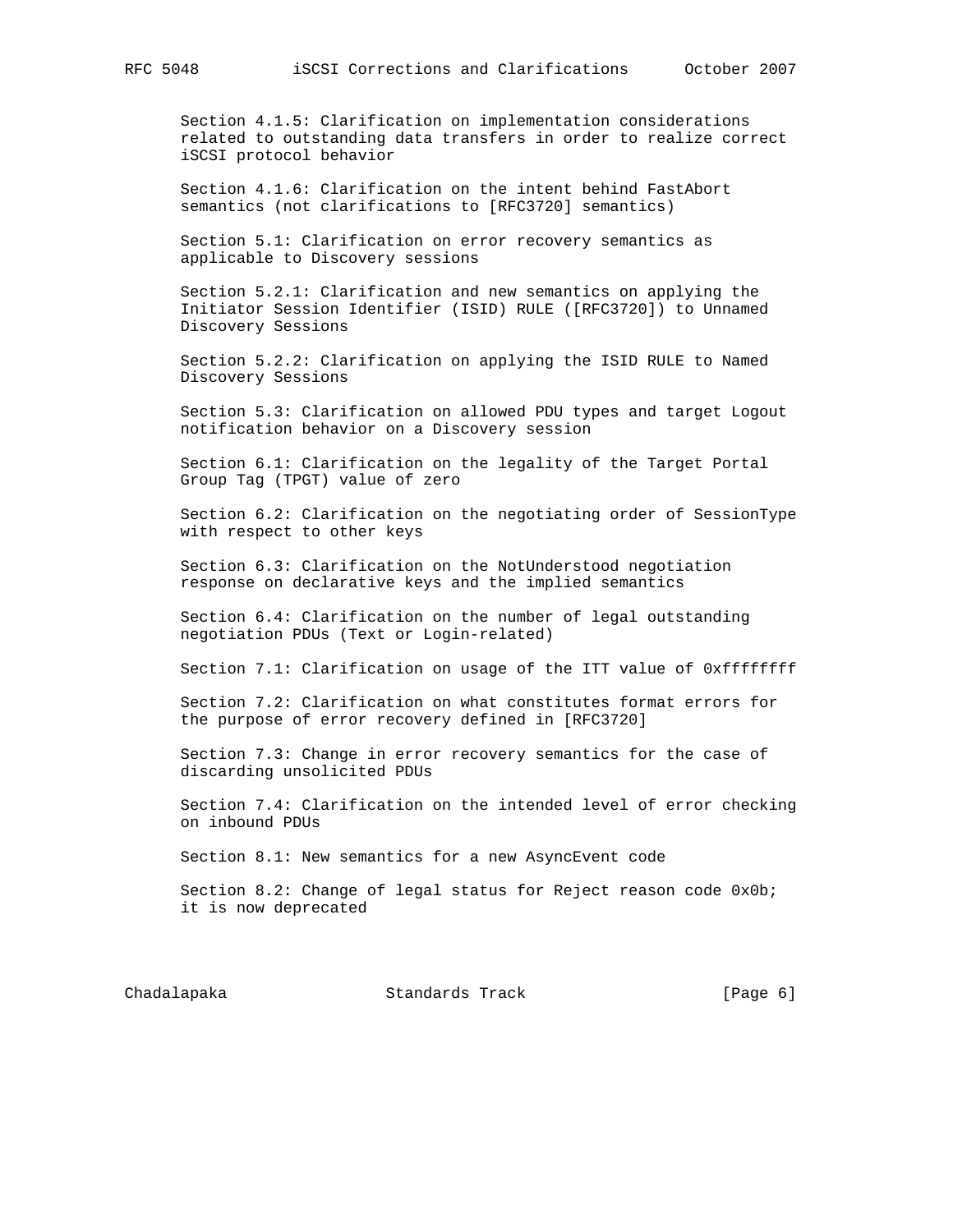Section 4.1.5: Clarification on implementation considerations related to outstanding data transfers in order to realize correct iSCSI protocol behavior

 Section 4.1.6: Clarification on the intent behind FastAbort semantics (not clarifications to [RFC3720] semantics)

 Section 5.1: Clarification on error recovery semantics as applicable to Discovery sessions

 Section 5.2.1: Clarification and new semantics on applying the Initiator Session Identifier (ISID) RULE ([RFC3720]) to Unnamed Discovery Sessions

 Section 5.2.2: Clarification on applying the ISID RULE to Named Discovery Sessions

 Section 5.3: Clarification on allowed PDU types and target Logout notification behavior on a Discovery session

 Section 6.1: Clarification on the legality of the Target Portal Group Tag (TPGT) value of zero

 Section 6.2: Clarification on the negotiating order of SessionType with respect to other keys

 Section 6.3: Clarification on the NotUnderstood negotiation response on declarative keys and the implied semantics

 Section 6.4: Clarification on the number of legal outstanding negotiation PDUs (Text or Login-related)

Section 7.1: Clarification on usage of the ITT value of 0xffffffff

 Section 7.2: Clarification on what constitutes format errors for the purpose of error recovery defined in [RFC3720]

 Section 7.3: Change in error recovery semantics for the case of discarding unsolicited PDUs

 Section 7.4: Clarification on the intended level of error checking on inbound PDUs

Section 8.1: New semantics for a new AsyncEvent code

 Section 8.2: Change of legal status for Reject reason code 0x0b; it is now deprecated

Chadalapaka Standards Track [Page 6]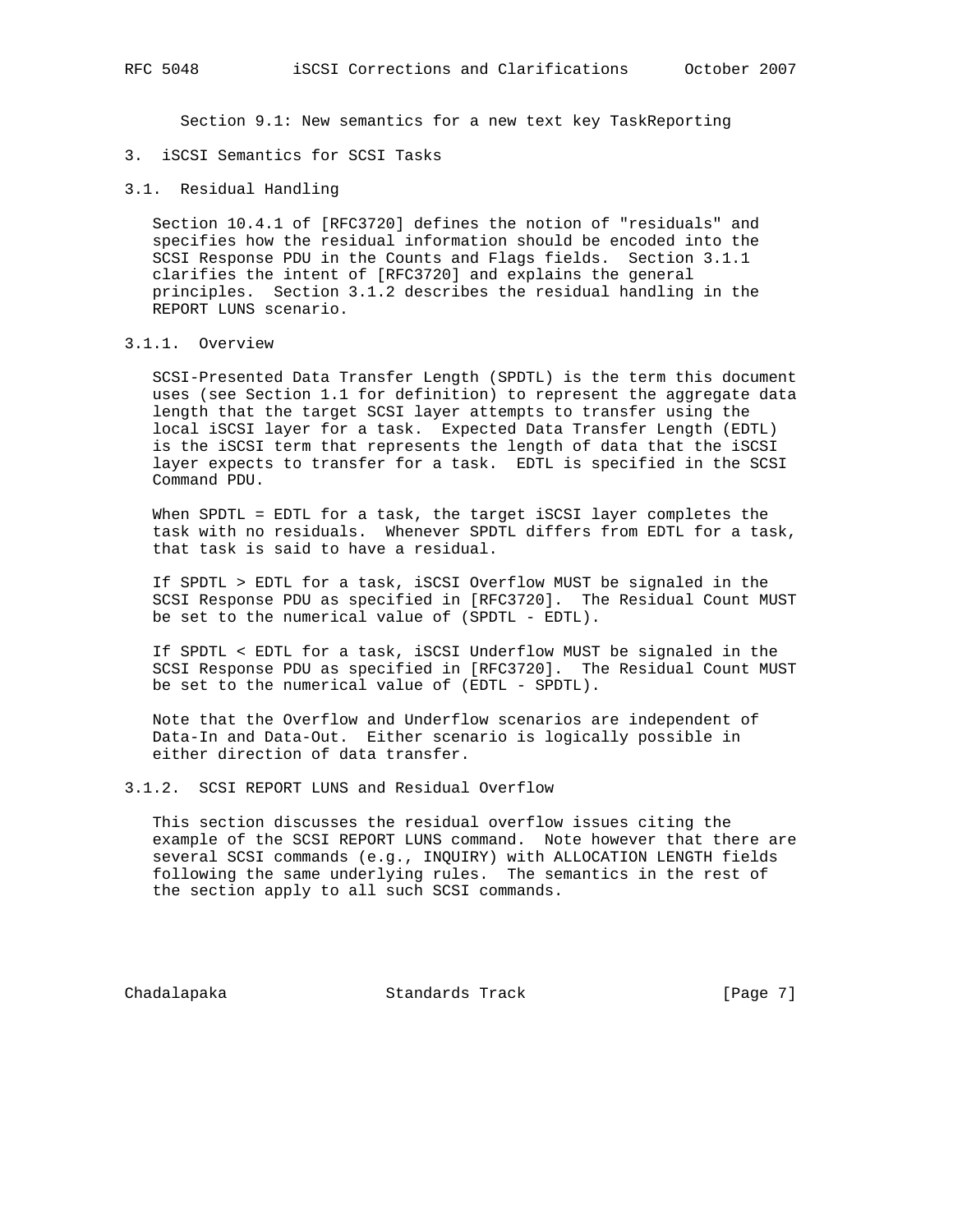Section 9.1: New semantics for a new text key TaskReporting

- 3. iSCSI Semantics for SCSI Tasks
- 3.1. Residual Handling

 Section 10.4.1 of [RFC3720] defines the notion of "residuals" and specifies how the residual information should be encoded into the SCSI Response PDU in the Counts and Flags fields. Section 3.1.1 clarifies the intent of [RFC3720] and explains the general principles. Section 3.1.2 describes the residual handling in the REPORT LUNS scenario.

## 3.1.1. Overview

 SCSI-Presented Data Transfer Length (SPDTL) is the term this document uses (see Section 1.1 for definition) to represent the aggregate data length that the target SCSI layer attempts to transfer using the local iSCSI layer for a task. Expected Data Transfer Length (EDTL) is the iSCSI term that represents the length of data that the iSCSI layer expects to transfer for a task. EDTL is specified in the SCSI Command PDU.

When SPDTL = EDTL for a task, the target iSCSI layer completes the task with no residuals. Whenever SPDTL differs from EDTL for a task, that task is said to have a residual.

 If SPDTL > EDTL for a task, iSCSI Overflow MUST be signaled in the SCSI Response PDU as specified in [RFC3720]. The Residual Count MUST be set to the numerical value of (SPDTL - EDTL).

 If SPDTL < EDTL for a task, iSCSI Underflow MUST be signaled in the SCSI Response PDU as specified in [RFC3720]. The Residual Count MUST be set to the numerical value of (EDTL - SPDTL).

 Note that the Overflow and Underflow scenarios are independent of Data-In and Data-Out. Either scenario is logically possible in either direction of data transfer.

3.1.2. SCSI REPORT LUNS and Residual Overflow

 This section discusses the residual overflow issues citing the example of the SCSI REPORT LUNS command. Note however that there are several SCSI commands (e.g., INQUIRY) with ALLOCATION LENGTH fields following the same underlying rules. The semantics in the rest of the section apply to all such SCSI commands.

Chadalapaka Standards Track [Page 7]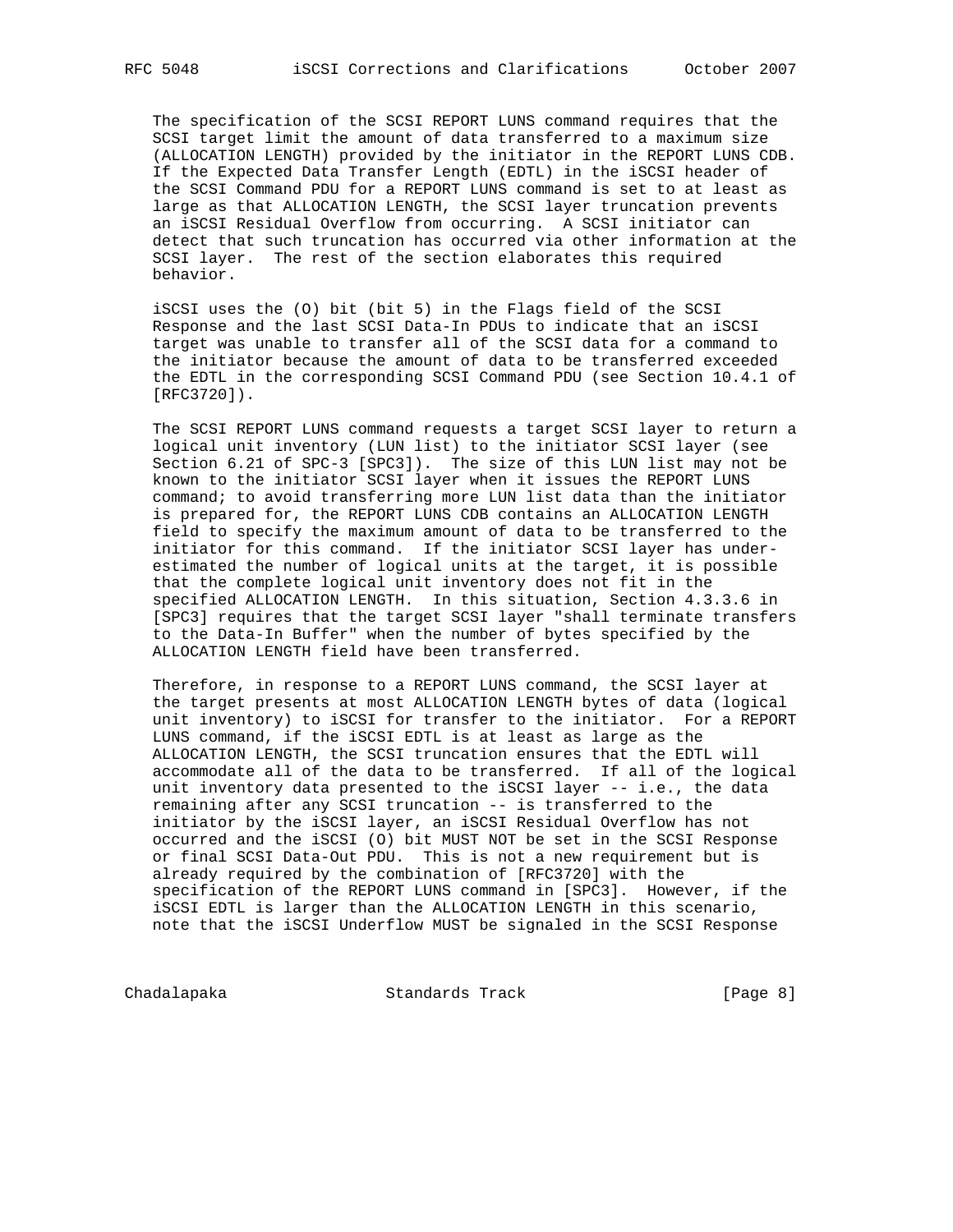The specification of the SCSI REPORT LUNS command requires that the SCSI target limit the amount of data transferred to a maximum size (ALLOCATION LENGTH) provided by the initiator in the REPORT LUNS CDB. If the Expected Data Transfer Length (EDTL) in the iSCSI header of the SCSI Command PDU for a REPORT LUNS command is set to at least as large as that ALLOCATION LENGTH, the SCSI layer truncation prevents an iSCSI Residual Overflow from occurring. A SCSI initiator can detect that such truncation has occurred via other information at the SCSI layer. The rest of the section elaborates this required behavior.

 iSCSI uses the (O) bit (bit 5) in the Flags field of the SCSI Response and the last SCSI Data-In PDUs to indicate that an iSCSI target was unable to transfer all of the SCSI data for a command to the initiator because the amount of data to be transferred exceeded the EDTL in the corresponding SCSI Command PDU (see Section 10.4.1 of [RFC3720]).

 The SCSI REPORT LUNS command requests a target SCSI layer to return a logical unit inventory (LUN list) to the initiator SCSI layer (see Section 6.21 of SPC-3 [SPC3]). The size of this LUN list may not be known to the initiator SCSI layer when it issues the REPORT LUNS command; to avoid transferring more LUN list data than the initiator is prepared for, the REPORT LUNS CDB contains an ALLOCATION LENGTH field to specify the maximum amount of data to be transferred to the initiator for this command. If the initiator SCSI layer has under estimated the number of logical units at the target, it is possible that the complete logical unit inventory does not fit in the specified ALLOCATION LENGTH. In this situation, Section 4.3.3.6 in [SPC3] requires that the target SCSI layer "shall terminate transfers to the Data-In Buffer" when the number of bytes specified by the ALLOCATION LENGTH field have been transferred.

 Therefore, in response to a REPORT LUNS command, the SCSI layer at the target presents at most ALLOCATION LENGTH bytes of data (logical unit inventory) to iSCSI for transfer to the initiator. For a REPORT LUNS command, if the iSCSI EDTL is at least as large as the ALLOCATION LENGTH, the SCSI truncation ensures that the EDTL will accommodate all of the data to be transferred. If all of the logical unit inventory data presented to the iSCSI layer -- i.e., the data remaining after any SCSI truncation -- is transferred to the initiator by the iSCSI layer, an iSCSI Residual Overflow has not occurred and the iSCSI (O) bit MUST NOT be set in the SCSI Response or final SCSI Data-Out PDU. This is not a new requirement but is already required by the combination of [RFC3720] with the specification of the REPORT LUNS command in [SPC3]. However, if the iSCSI EDTL is larger than the ALLOCATION LENGTH in this scenario, note that the iSCSI Underflow MUST be signaled in the SCSI Response

Chadalapaka Standards Track [Page 8]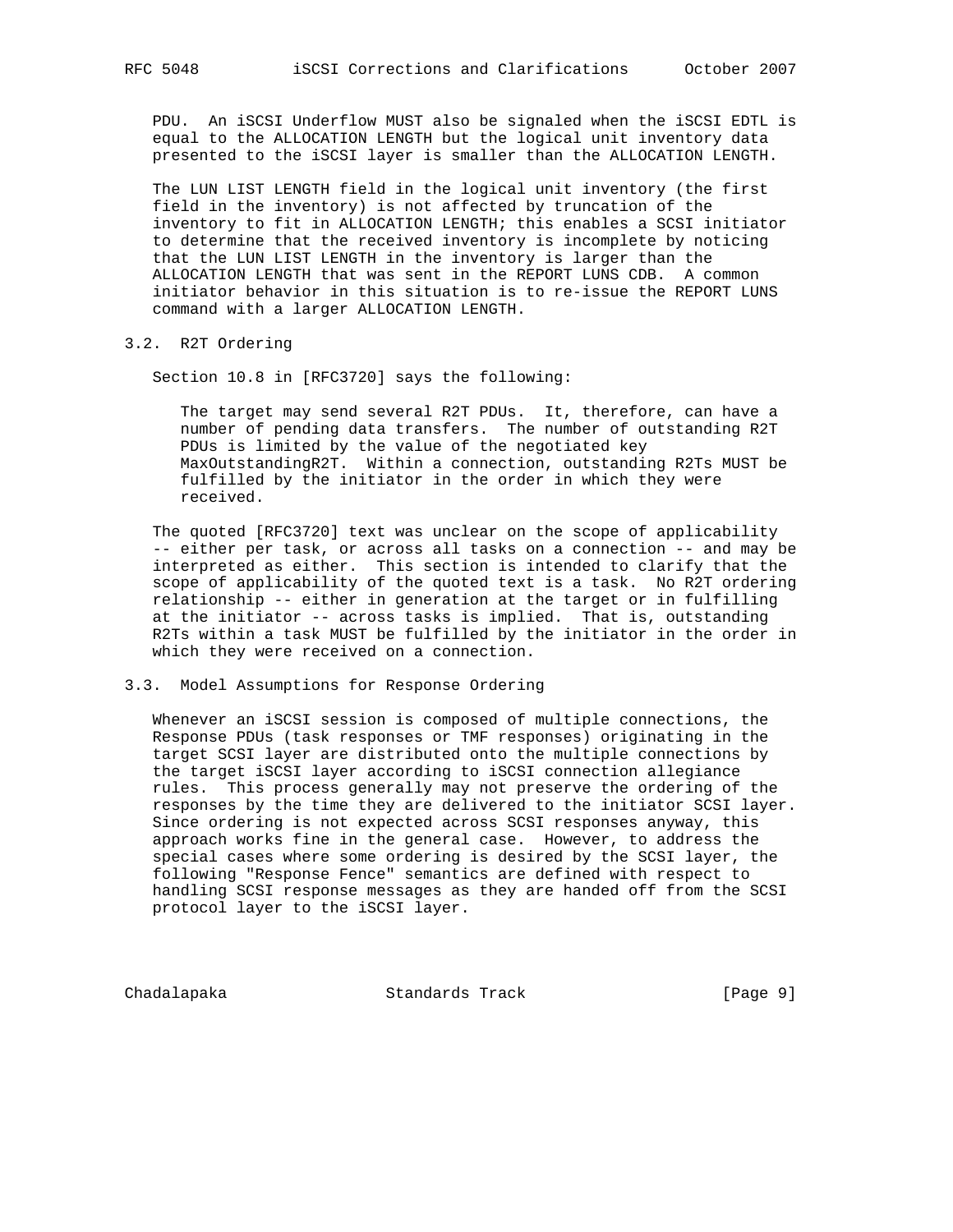PDU. An iSCSI Underflow MUST also be signaled when the iSCSI EDTL is equal to the ALLOCATION LENGTH but the logical unit inventory data presented to the iSCSI layer is smaller than the ALLOCATION LENGTH.

 The LUN LIST LENGTH field in the logical unit inventory (the first field in the inventory) is not affected by truncation of the inventory to fit in ALLOCATION LENGTH; this enables a SCSI initiator to determine that the received inventory is incomplete by noticing that the LUN LIST LENGTH in the inventory is larger than the ALLOCATION LENGTH that was sent in the REPORT LUNS CDB. A common initiator behavior in this situation is to re-issue the REPORT LUNS command with a larger ALLOCATION LENGTH.

# 3.2. R2T Ordering

Section 10.8 in [RFC3720] says the following:

 The target may send several R2T PDUs. It, therefore, can have a number of pending data transfers. The number of outstanding R2T PDUs is limited by the value of the negotiated key MaxOutstandingR2T. Within a connection, outstanding R2Ts MUST be fulfilled by the initiator in the order in which they were received.

 The quoted [RFC3720] text was unclear on the scope of applicability -- either per task, or across all tasks on a connection -- and may be interpreted as either. This section is intended to clarify that the scope of applicability of the quoted text is a task. No R2T ordering relationship -- either in generation at the target or in fulfilling at the initiator -- across tasks is implied. That is, outstanding R2Ts within a task MUST be fulfilled by the initiator in the order in which they were received on a connection.

## 3.3. Model Assumptions for Response Ordering

 Whenever an iSCSI session is composed of multiple connections, the Response PDUs (task responses or TMF responses) originating in the target SCSI layer are distributed onto the multiple connections by the target iSCSI layer according to iSCSI connection allegiance rules. This process generally may not preserve the ordering of the responses by the time they are delivered to the initiator SCSI layer. Since ordering is not expected across SCSI responses anyway, this approach works fine in the general case. However, to address the special cases where some ordering is desired by the SCSI layer, the following "Response Fence" semantics are defined with respect to handling SCSI response messages as they are handed off from the SCSI protocol layer to the iSCSI layer.

Chadalapaka Standards Track [Page 9]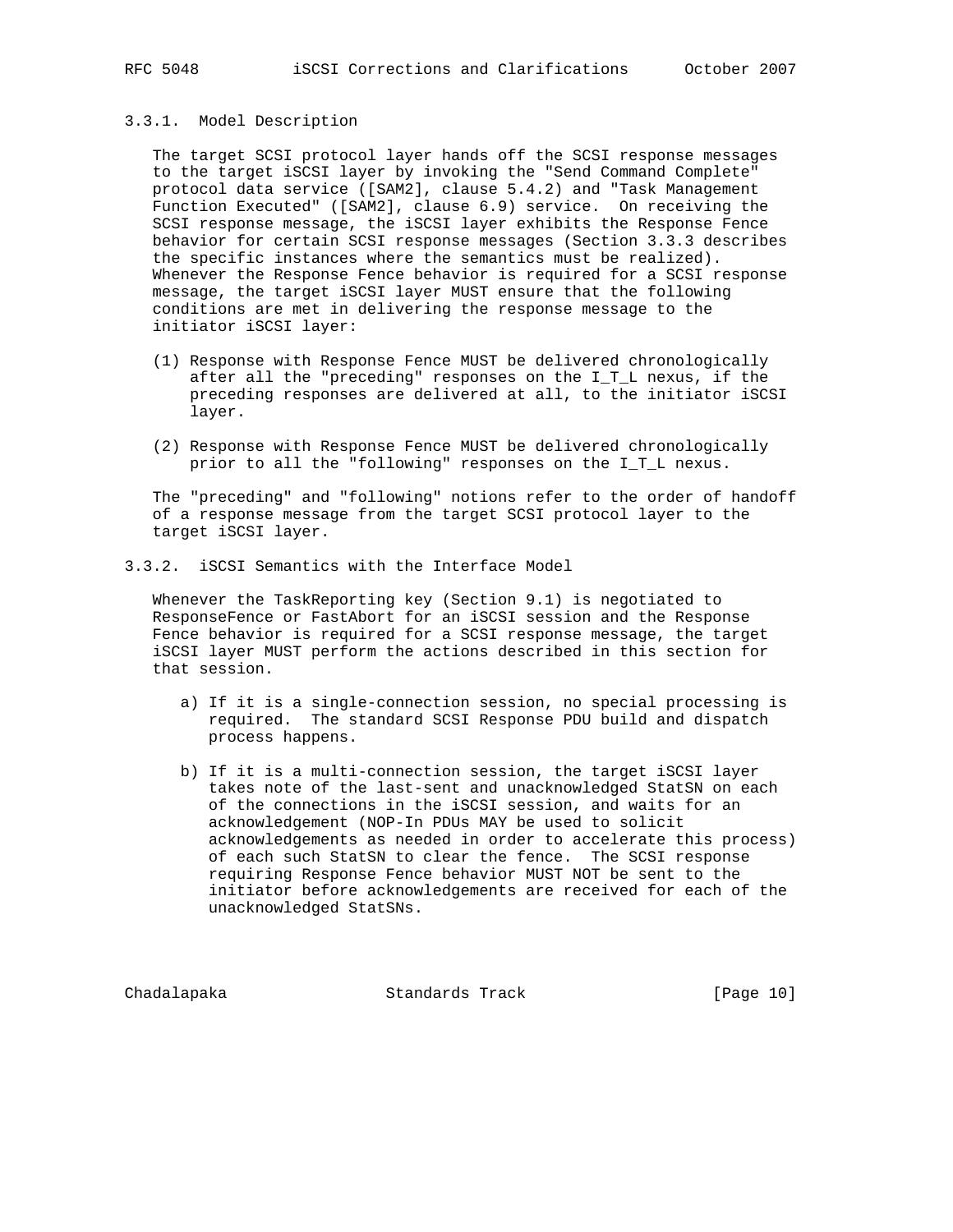## 3.3.1. Model Description

 The target SCSI protocol layer hands off the SCSI response messages to the target iSCSI layer by invoking the "Send Command Complete" protocol data service ([SAM2], clause 5.4.2) and "Task Management Function Executed" ([SAM2], clause 6.9) service. On receiving the SCSI response message, the iSCSI layer exhibits the Response Fence behavior for certain SCSI response messages (Section 3.3.3 describes the specific instances where the semantics must be realized). Whenever the Response Fence behavior is required for a SCSI response message, the target iSCSI layer MUST ensure that the following conditions are met in delivering the response message to the initiator iSCSI layer:

- (1) Response with Response Fence MUST be delivered chronologically after all the "preceding" responses on the I\_T\_L nexus, if the preceding responses are delivered at all, to the initiator iSCSI layer.
- (2) Response with Response Fence MUST be delivered chronologically prior to all the "following" responses on the I\_T\_L nexus.

 The "preceding" and "following" notions refer to the order of handoff of a response message from the target SCSI protocol layer to the target iSCSI layer.

## 3.3.2. iSCSI Semantics with the Interface Model

 Whenever the TaskReporting key (Section 9.1) is negotiated to ResponseFence or FastAbort for an iSCSI session and the Response Fence behavior is required for a SCSI response message, the target iSCSI layer MUST perform the actions described in this section for that session.

- a) If it is a single-connection session, no special processing is required. The standard SCSI Response PDU build and dispatch process happens.
- b) If it is a multi-connection session, the target iSCSI layer takes note of the last-sent and unacknowledged StatSN on each of the connections in the iSCSI session, and waits for an acknowledgement (NOP-In PDUs MAY be used to solicit acknowledgements as needed in order to accelerate this process) of each such StatSN to clear the fence. The SCSI response requiring Response Fence behavior MUST NOT be sent to the initiator before acknowledgements are received for each of the unacknowledged StatSNs.

Chadalapaka Standards Track [Page 10]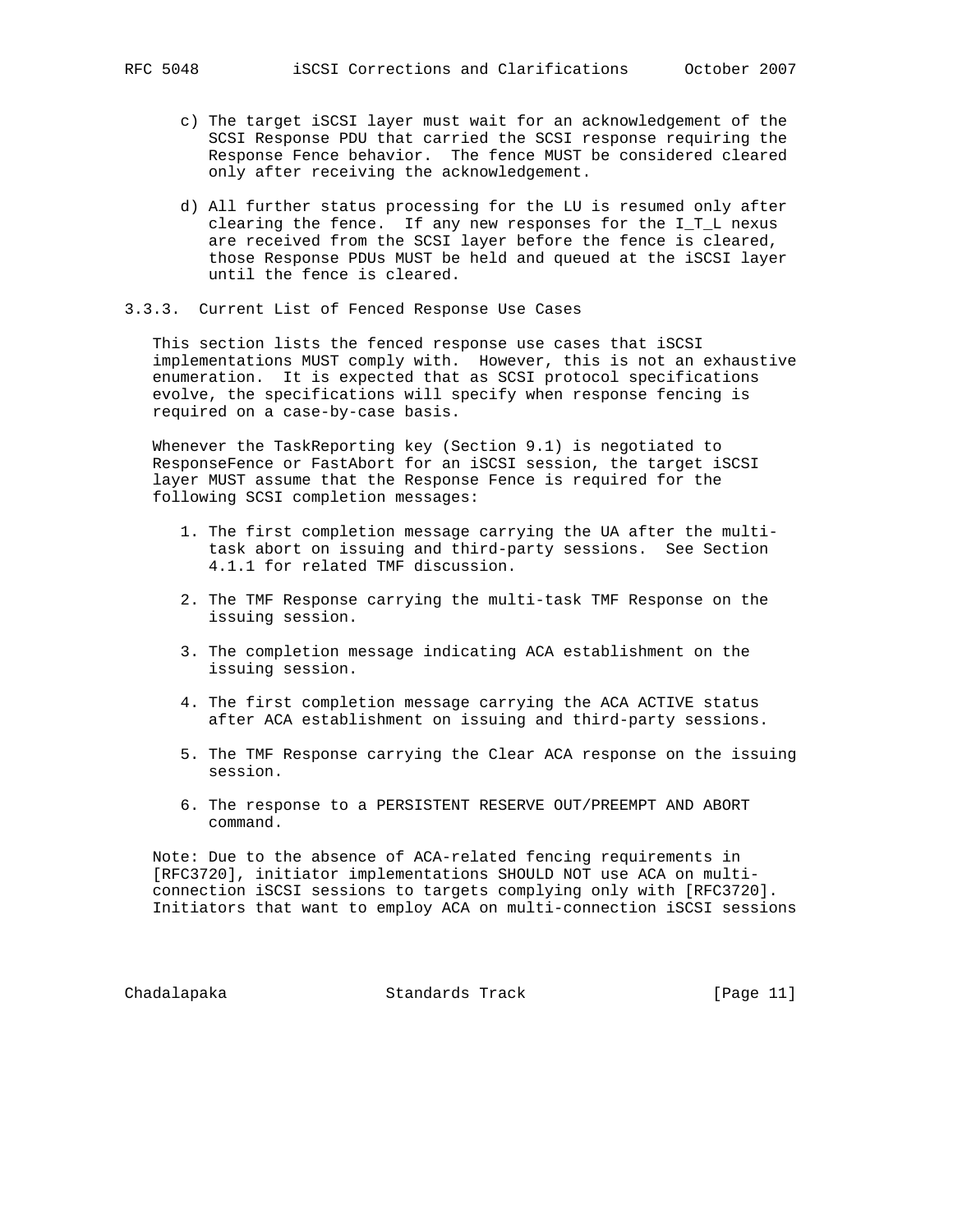- c) The target iSCSI layer must wait for an acknowledgement of the SCSI Response PDU that carried the SCSI response requiring the Response Fence behavior. The fence MUST be considered cleared only after receiving the acknowledgement.
- d) All further status processing for the LU is resumed only after clearing the fence. If any new responses for the I\_T\_L nexus are received from the SCSI layer before the fence is cleared, those Response PDUs MUST be held and queued at the iSCSI layer until the fence is cleared.
- 3.3.3. Current List of Fenced Response Use Cases

 This section lists the fenced response use cases that iSCSI implementations MUST comply with. However, this is not an exhaustive enumeration. It is expected that as SCSI protocol specifications evolve, the specifications will specify when response fencing is required on a case-by-case basis.

 Whenever the TaskReporting key (Section 9.1) is negotiated to ResponseFence or FastAbort for an iSCSI session, the target iSCSI layer MUST assume that the Response Fence is required for the following SCSI completion messages:

- 1. The first completion message carrying the UA after the multi task abort on issuing and third-party sessions. See Section 4.1.1 for related TMF discussion.
- 2. The TMF Response carrying the multi-task TMF Response on the issuing session.
- 3. The completion message indicating ACA establishment on the issuing session.
- 4. The first completion message carrying the ACA ACTIVE status after ACA establishment on issuing and third-party sessions.
- 5. The TMF Response carrying the Clear ACA response on the issuing session.
- 6. The response to a PERSISTENT RESERVE OUT/PREEMPT AND ABORT command.

 Note: Due to the absence of ACA-related fencing requirements in [RFC3720], initiator implementations SHOULD NOT use ACA on multi connection iSCSI sessions to targets complying only with [RFC3720]. Initiators that want to employ ACA on multi-connection iSCSI sessions

Chadalapaka Standards Track [Page 11]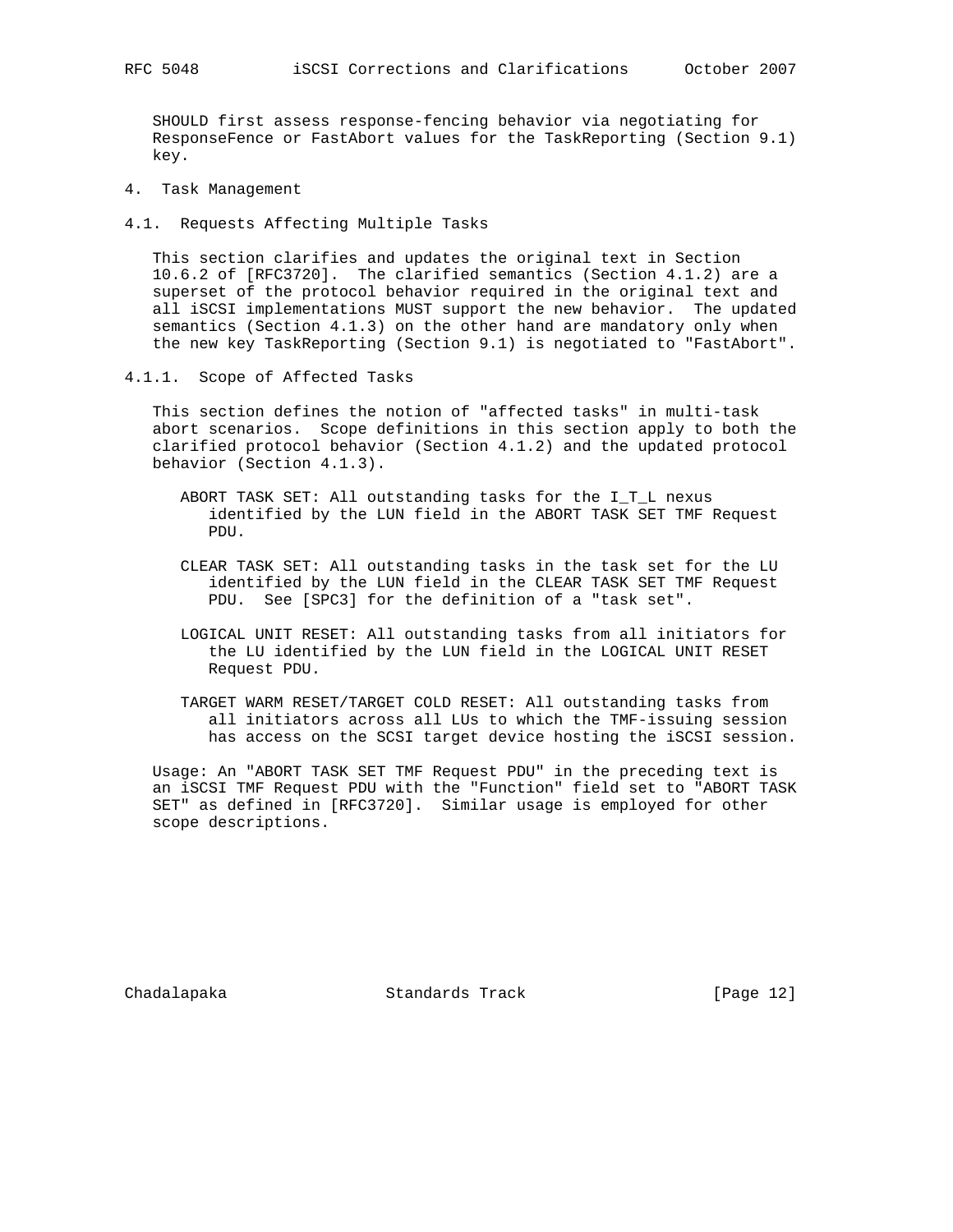SHOULD first assess response-fencing behavior via negotiating for ResponseFence or FastAbort values for the TaskReporting (Section 9.1) key.

- 4. Task Management
- 4.1. Requests Affecting Multiple Tasks

 This section clarifies and updates the original text in Section 10.6.2 of [RFC3720]. The clarified semantics (Section 4.1.2) are a superset of the protocol behavior required in the original text and all iSCSI implementations MUST support the new behavior. The updated semantics (Section 4.1.3) on the other hand are mandatory only when the new key TaskReporting (Section 9.1) is negotiated to "FastAbort".

4.1.1. Scope of Affected Tasks

 This section defines the notion of "affected tasks" in multi-task abort scenarios. Scope definitions in this section apply to both the clarified protocol behavior (Section 4.1.2) and the updated protocol behavior (Section 4.1.3).

- ABORT TASK SET: All outstanding tasks for the I\_T\_L nexus identified by the LUN field in the ABORT TASK SET TMF Request PDU.
- CLEAR TASK SET: All outstanding tasks in the task set for the LU identified by the LUN field in the CLEAR TASK SET TMF Request PDU. See [SPC3] for the definition of a "task set".
- LOGICAL UNIT RESET: All outstanding tasks from all initiators for the LU identified by the LUN field in the LOGICAL UNIT RESET Request PDU.
- TARGET WARM RESET/TARGET COLD RESET: All outstanding tasks from all initiators across all LUs to which the TMF-issuing session has access on the SCSI target device hosting the iSCSI session.

 Usage: An "ABORT TASK SET TMF Request PDU" in the preceding text is an iSCSI TMF Request PDU with the "Function" field set to "ABORT TASK SET" as defined in [RFC3720]. Similar usage is employed for other scope descriptions.

Chadalapaka Standards Track [Page 12]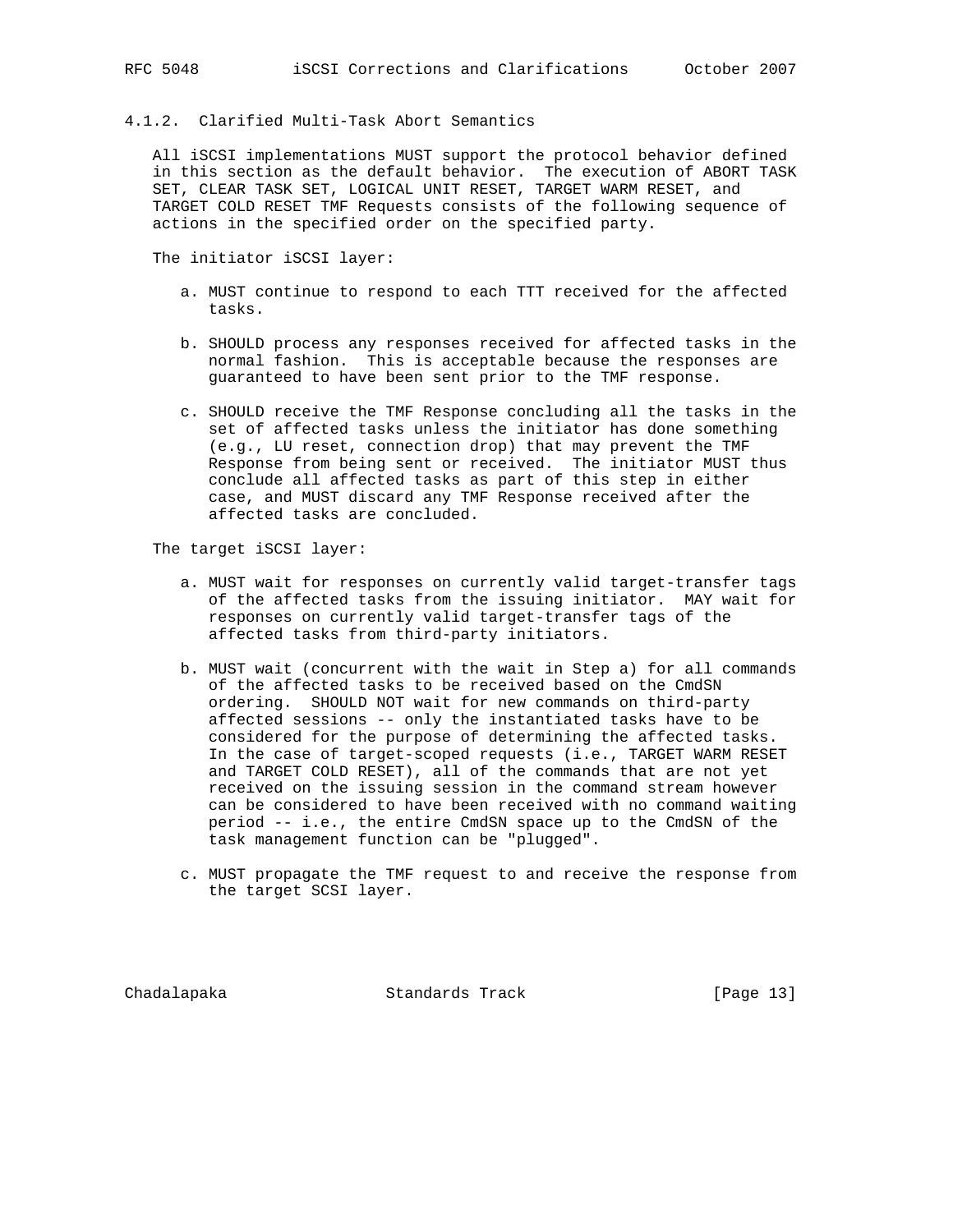## 4.1.2. Clarified Multi-Task Abort Semantics

 All iSCSI implementations MUST support the protocol behavior defined in this section as the default behavior. The execution of ABORT TASK SET, CLEAR TASK SET, LOGICAL UNIT RESET, TARGET WARM RESET, and TARGET COLD RESET TMF Requests consists of the following sequence of actions in the specified order on the specified party.

The initiator iSCSI layer:

- a. MUST continue to respond to each TTT received for the affected tasks.
- b. SHOULD process any responses received for affected tasks in the normal fashion. This is acceptable because the responses are guaranteed to have been sent prior to the TMF response.
- c. SHOULD receive the TMF Response concluding all the tasks in the set of affected tasks unless the initiator has done something (e.g., LU reset, connection drop) that may prevent the TMF Response from being sent or received. The initiator MUST thus conclude all affected tasks as part of this step in either case, and MUST discard any TMF Response received after the affected tasks are concluded.

The target iSCSI layer:

- a. MUST wait for responses on currently valid target-transfer tags of the affected tasks from the issuing initiator. MAY wait for responses on currently valid target-transfer tags of the affected tasks from third-party initiators.
- b. MUST wait (concurrent with the wait in Step a) for all commands of the affected tasks to be received based on the CmdSN ordering. SHOULD NOT wait for new commands on third-party affected sessions -- only the instantiated tasks have to be considered for the purpose of determining the affected tasks. In the case of target-scoped requests (i.e., TARGET WARM RESET and TARGET COLD RESET), all of the commands that are not yet received on the issuing session in the command stream however can be considered to have been received with no command waiting period -- i.e., the entire CmdSN space up to the CmdSN of the task management function can be "plugged".
- c. MUST propagate the TMF request to and receive the response from the target SCSI layer.

Chadalapaka Standards Track [Page 13]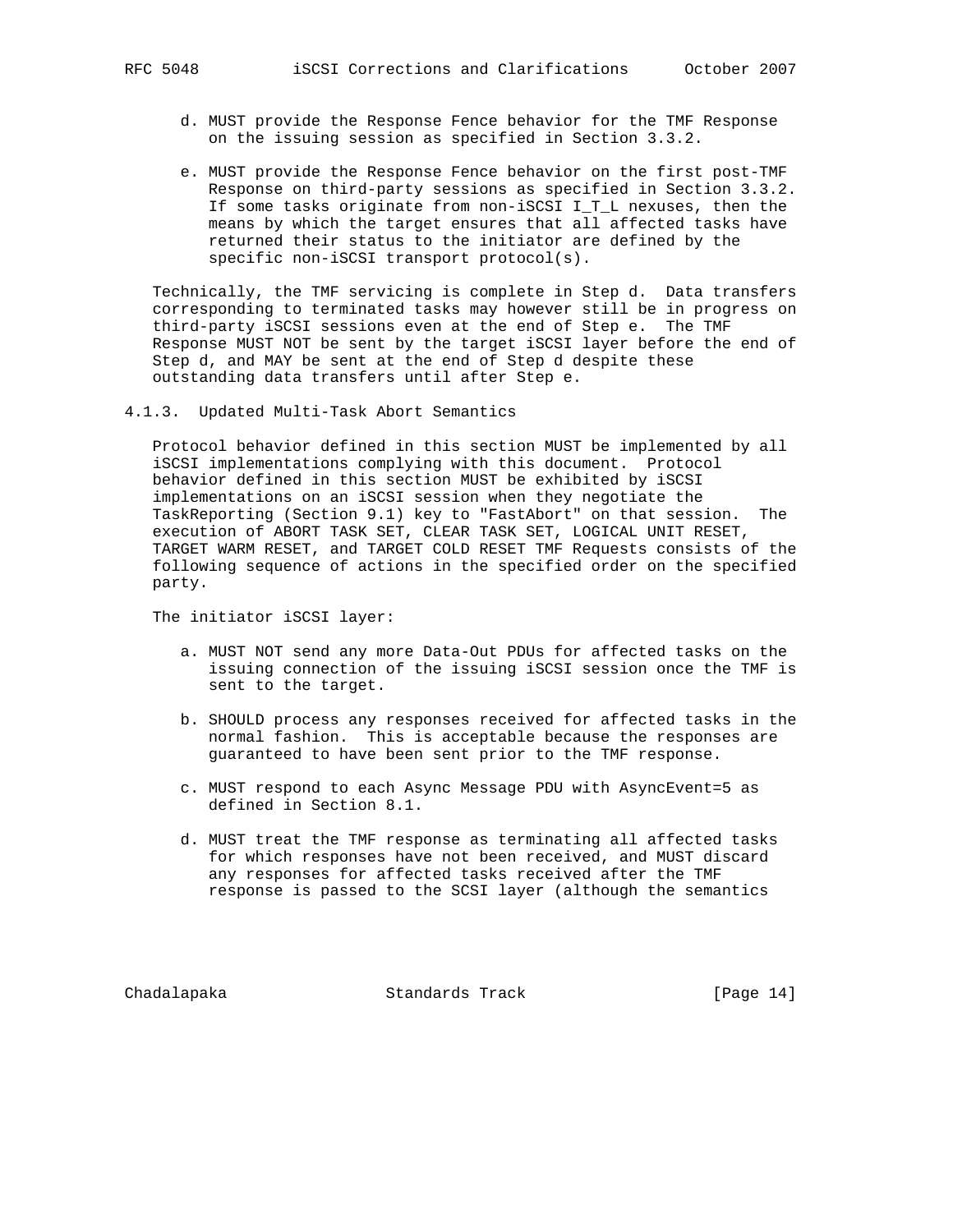- d. MUST provide the Response Fence behavior for the TMF Response on the issuing session as specified in Section 3.3.2.
- e. MUST provide the Response Fence behavior on the first post-TMF Response on third-party sessions as specified in Section 3.3.2. If some tasks originate from non-iSCSI I\_T\_L nexuses, then the means by which the target ensures that all affected tasks have returned their status to the initiator are defined by the specific non-iSCSI transport protocol(s).

 Technically, the TMF servicing is complete in Step d. Data transfers corresponding to terminated tasks may however still be in progress on third-party iSCSI sessions even at the end of Step e. The TMF Response MUST NOT be sent by the target iSCSI layer before the end of Step d, and MAY be sent at the end of Step d despite these outstanding data transfers until after Step e.

4.1.3. Updated Multi-Task Abort Semantics

 Protocol behavior defined in this section MUST be implemented by all iSCSI implementations complying with this document. Protocol behavior defined in this section MUST be exhibited by iSCSI implementations on an iSCSI session when they negotiate the TaskReporting (Section 9.1) key to "FastAbort" on that session. The execution of ABORT TASK SET, CLEAR TASK SET, LOGICAL UNIT RESET, TARGET WARM RESET, and TARGET COLD RESET TMF Requests consists of the following sequence of actions in the specified order on the specified party.

The initiator iSCSI layer:

- a. MUST NOT send any more Data-Out PDUs for affected tasks on the issuing connection of the issuing iSCSI session once the TMF is sent to the target.
- b. SHOULD process any responses received for affected tasks in the normal fashion. This is acceptable because the responses are guaranteed to have been sent prior to the TMF response.
- c. MUST respond to each Async Message PDU with AsyncEvent=5 as defined in Section 8.1.
- d. MUST treat the TMF response as terminating all affected tasks for which responses have not been received, and MUST discard any responses for affected tasks received after the TMF response is passed to the SCSI layer (although the semantics

Chadalapaka Standards Track [Page 14]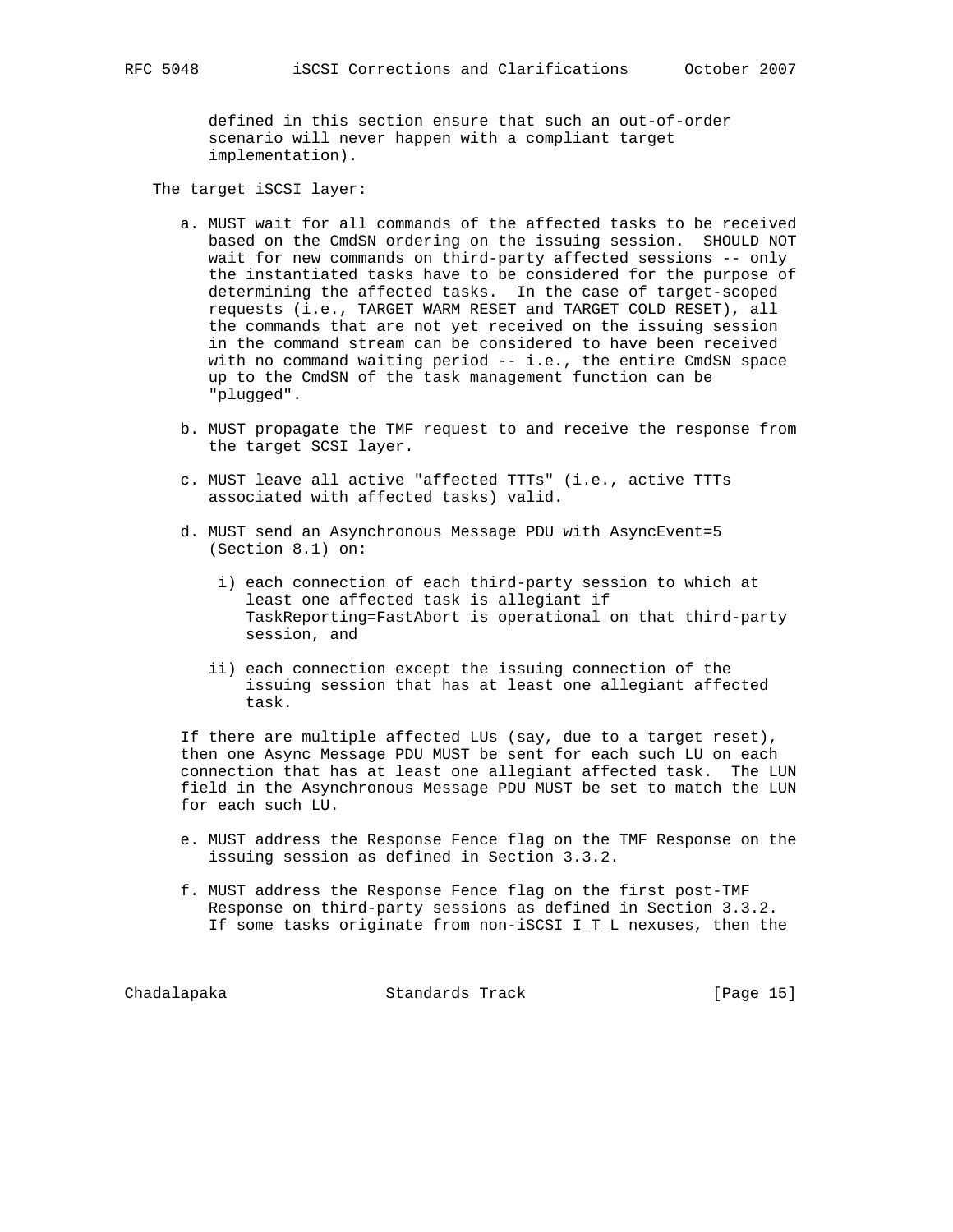defined in this section ensure that such an out-of-order scenario will never happen with a compliant target implementation).

The target iSCSI layer:

- a. MUST wait for all commands of the affected tasks to be received based on the CmdSN ordering on the issuing session. SHOULD NOT wait for new commands on third-party affected sessions -- only the instantiated tasks have to be considered for the purpose of determining the affected tasks. In the case of target-scoped requests (i.e., TARGET WARM RESET and TARGET COLD RESET), all the commands that are not yet received on the issuing session in the command stream can be considered to have been received with no command waiting period -- i.e., the entire CmdSN space up to the CmdSN of the task management function can be "plugged".
- b. MUST propagate the TMF request to and receive the response from the target SCSI layer.
- c. MUST leave all active "affected TTTs" (i.e., active TTTs associated with affected tasks) valid.
- d. MUST send an Asynchronous Message PDU with AsyncEvent=5 (Section 8.1) on:
	- i) each connection of each third-party session to which at least one affected task is allegiant if TaskReporting=FastAbort is operational on that third-party session, and
	- ii) each connection except the issuing connection of the issuing session that has at least one allegiant affected task.

 If there are multiple affected LUs (say, due to a target reset), then one Async Message PDU MUST be sent for each such LU on each connection that has at least one allegiant affected task. The LUN field in the Asynchronous Message PDU MUST be set to match the LUN for each such LU.

- e. MUST address the Response Fence flag on the TMF Response on the issuing session as defined in Section 3.3.2.
- f. MUST address the Response Fence flag on the first post-TMF Response on third-party sessions as defined in Section 3.3.2. If some tasks originate from non-iSCSI I\_T\_L nexuses, then the

Chadalapaka Standards Track [Page 15]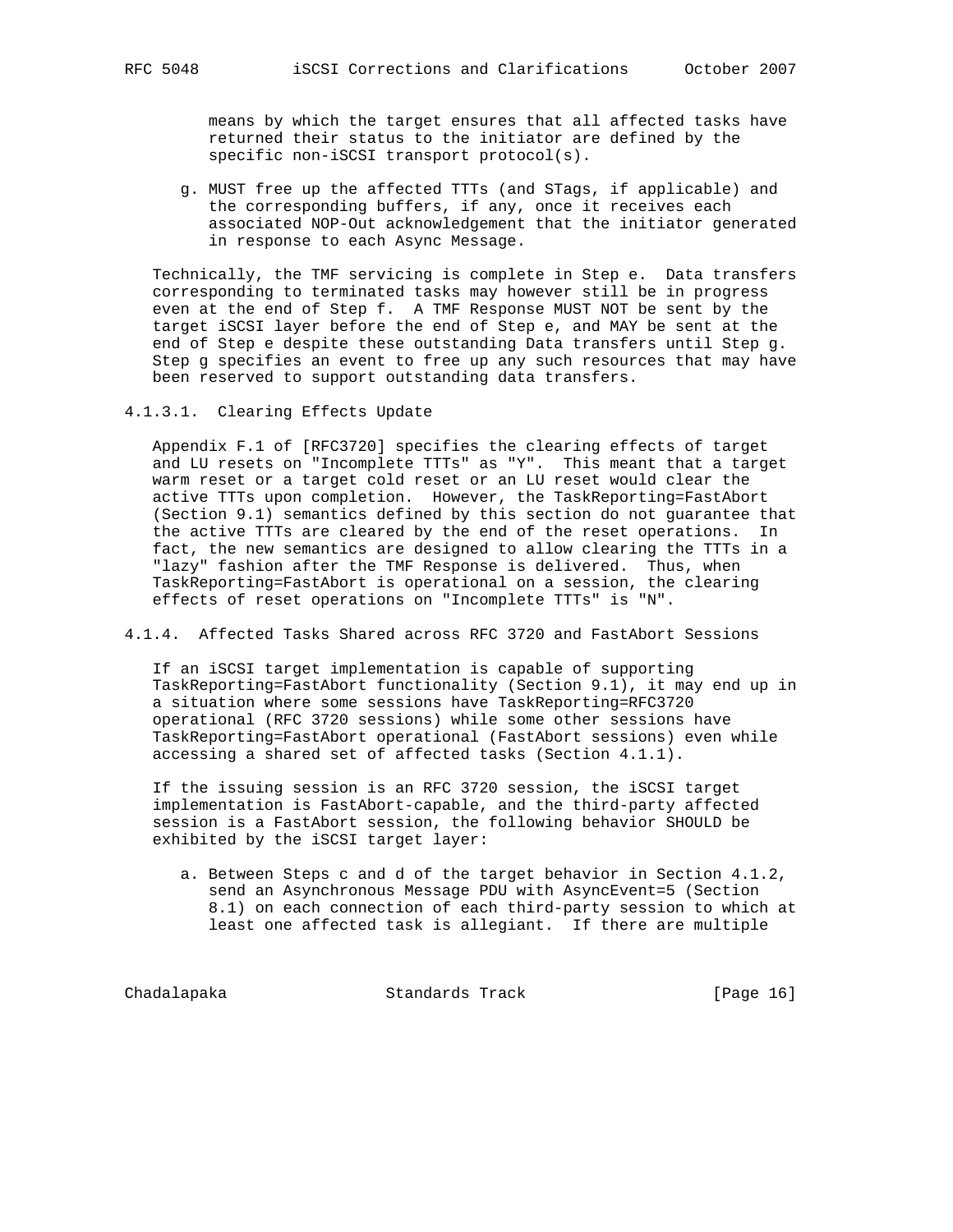means by which the target ensures that all affected tasks have returned their status to the initiator are defined by the specific non-iSCSI transport protocol(s).

 g. MUST free up the affected TTTs (and STags, if applicable) and the corresponding buffers, if any, once it receives each associated NOP-Out acknowledgement that the initiator generated in response to each Async Message.

 Technically, the TMF servicing is complete in Step e. Data transfers corresponding to terminated tasks may however still be in progress even at the end of Step f. A TMF Response MUST NOT be sent by the target iSCSI layer before the end of Step e, and MAY be sent at the end of Step e despite these outstanding Data transfers until Step g. Step g specifies an event to free up any such resources that may have been reserved to support outstanding data transfers.

4.1.3.1. Clearing Effects Update

 Appendix F.1 of [RFC3720] specifies the clearing effects of target and LU resets on "Incomplete TTTs" as "Y". This meant that a target warm reset or a target cold reset or an LU reset would clear the active TTTs upon completion. However, the TaskReporting=FastAbort (Section 9.1) semantics defined by this section do not guarantee that the active TTTs are cleared by the end of the reset operations. In fact, the new semantics are designed to allow clearing the TTTs in a "lazy" fashion after the TMF Response is delivered. Thus, when TaskReporting=FastAbort is operational on a session, the clearing effects of reset operations on "Incomplete TTTs" is "N".

4.1.4. Affected Tasks Shared across RFC 3720 and FastAbort Sessions

 If an iSCSI target implementation is capable of supporting TaskReporting=FastAbort functionality (Section 9.1), it may end up in a situation where some sessions have TaskReporting=RFC3720 operational (RFC 3720 sessions) while some other sessions have TaskReporting=FastAbort operational (FastAbort sessions) even while accessing a shared set of affected tasks (Section 4.1.1).

 If the issuing session is an RFC 3720 session, the iSCSI target implementation is FastAbort-capable, and the third-party affected session is a FastAbort session, the following behavior SHOULD be exhibited by the iSCSI target layer:

 a. Between Steps c and d of the target behavior in Section 4.1.2, send an Asynchronous Message PDU with AsyncEvent=5 (Section 8.1) on each connection of each third-party session to which at least one affected task is allegiant. If there are multiple

Chadalapaka Standards Track [Page 16]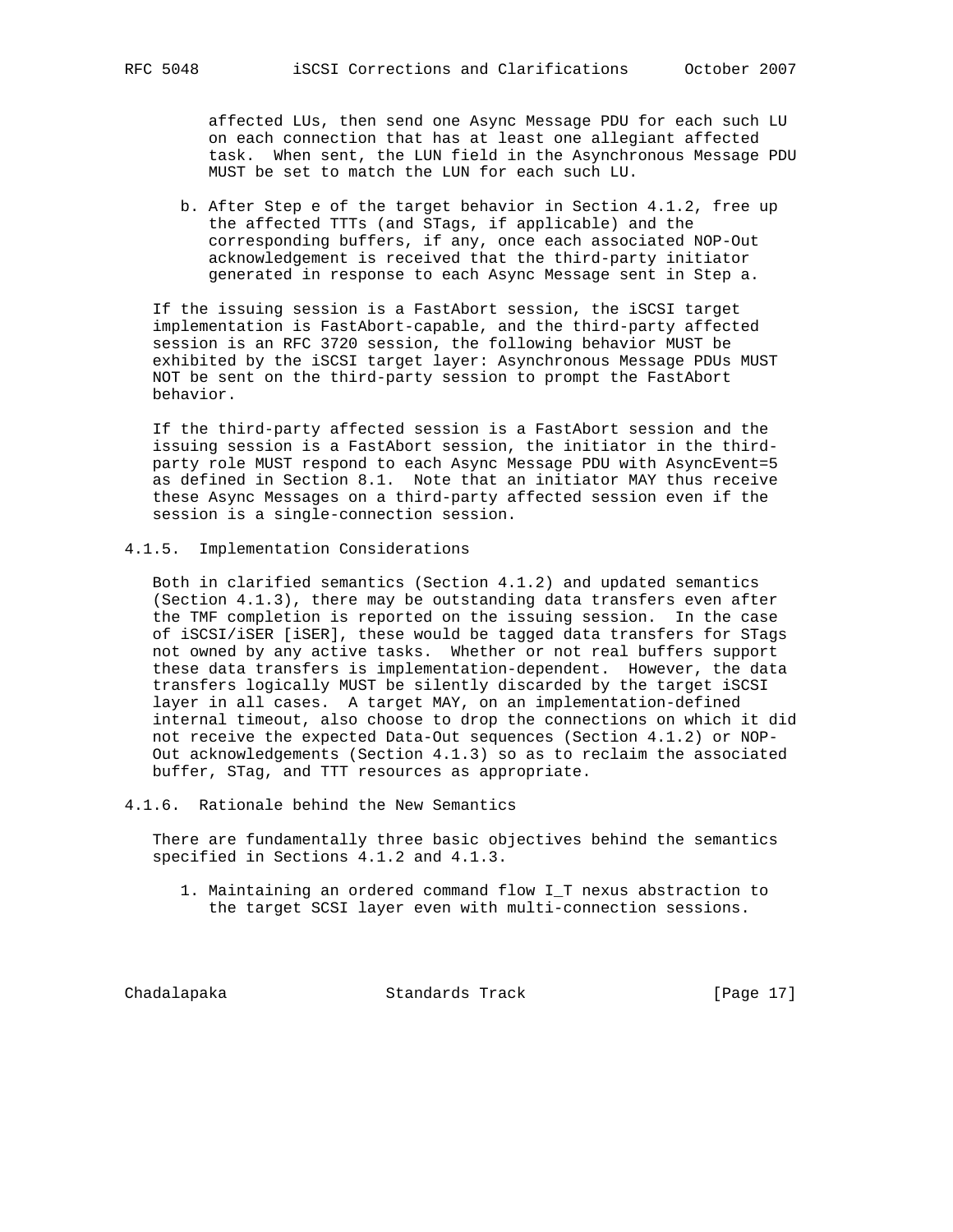affected LUs, then send one Async Message PDU for each such LU on each connection that has at least one allegiant affected task. When sent, the LUN field in the Asynchronous Message PDU MUST be set to match the LUN for each such LU.

 b. After Step e of the target behavior in Section 4.1.2, free up the affected TTTs (and STags, if applicable) and the corresponding buffers, if any, once each associated NOP-Out acknowledgement is received that the third-party initiator generated in response to each Async Message sent in Step a.

 If the issuing session is a FastAbort session, the iSCSI target implementation is FastAbort-capable, and the third-party affected session is an RFC 3720 session, the following behavior MUST be exhibited by the iSCSI target layer: Asynchronous Message PDUs MUST NOT be sent on the third-party session to prompt the FastAbort behavior.

 If the third-party affected session is a FastAbort session and the issuing session is a FastAbort session, the initiator in the third party role MUST respond to each Async Message PDU with AsyncEvent=5 as defined in Section 8.1. Note that an initiator MAY thus receive these Async Messages on a third-party affected session even if the session is a single-connection session.

4.1.5. Implementation Considerations

 Both in clarified semantics (Section 4.1.2) and updated semantics (Section 4.1.3), there may be outstanding data transfers even after the TMF completion is reported on the issuing session. In the case of iSCSI/iSER [iSER], these would be tagged data transfers for STags not owned by any active tasks. Whether or not real buffers support these data transfers is implementation-dependent. However, the data transfers logically MUST be silently discarded by the target iSCSI layer in all cases. A target MAY, on an implementation-defined internal timeout, also choose to drop the connections on which it did not receive the expected Data-Out sequences (Section 4.1.2) or NOP- Out acknowledgements (Section 4.1.3) so as to reclaim the associated buffer, STag, and TTT resources as appropriate.

4.1.6. Rationale behind the New Semantics

 There are fundamentally three basic objectives behind the semantics specified in Sections 4.1.2 and 4.1.3.

 1. Maintaining an ordered command flow I\_T nexus abstraction to the target SCSI layer even with multi-connection sessions.

Chadalapaka Standards Track [Page 17]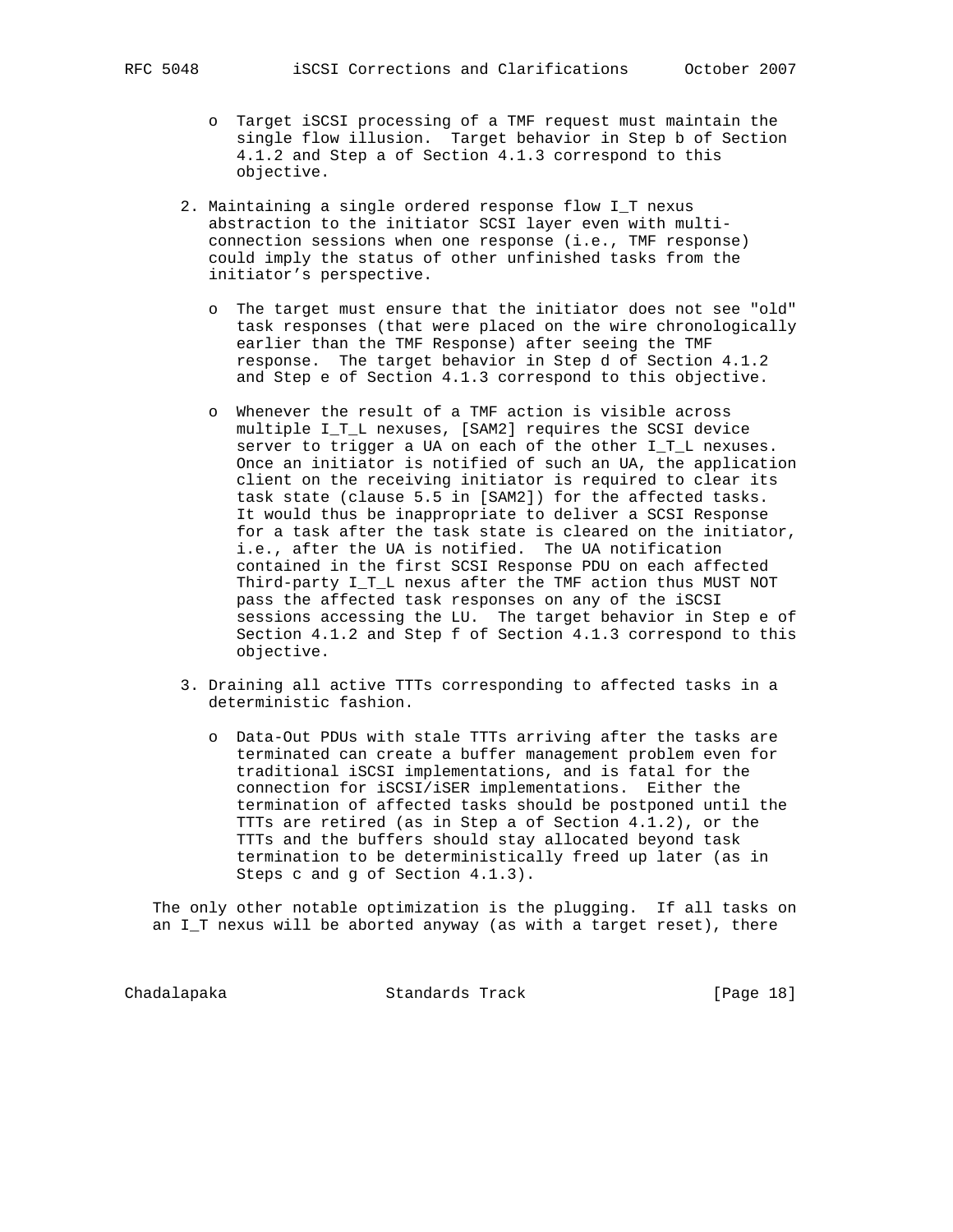- - o Target iSCSI processing of a TMF request must maintain the single flow illusion. Target behavior in Step b of Section 4.1.2 and Step a of Section 4.1.3 correspond to this objective.
	- 2. Maintaining a single ordered response flow I\_T nexus abstraction to the initiator SCSI layer even with multi connection sessions when one response (i.e., TMF response) could imply the status of other unfinished tasks from the initiator's perspective.
		- o The target must ensure that the initiator does not see "old" task responses (that were placed on the wire chronologically earlier than the TMF Response) after seeing the TMF response. The target behavior in Step d of Section 4.1.2 and Step e of Section 4.1.3 correspond to this objective.
		- o Whenever the result of a TMF action is visible across multiple I\_T\_L nexuses, [SAM2] requires the SCSI device server to trigger a UA on each of the other I\_T\_L nexuses. Once an initiator is notified of such an UA, the application client on the receiving initiator is required to clear its task state (clause 5.5 in [SAM2]) for the affected tasks. It would thus be inappropriate to deliver a SCSI Response for a task after the task state is cleared on the initiator, i.e., after the UA is notified. The UA notification contained in the first SCSI Response PDU on each affected Third-party I\_T\_L nexus after the TMF action thus MUST NOT pass the affected task responses on any of the iSCSI sessions accessing the LU. The target behavior in Step e of Section 4.1.2 and Step f of Section 4.1.3 correspond to this objective.
	- 3. Draining all active TTTs corresponding to affected tasks in a deterministic fashion.
		- o Data-Out PDUs with stale TTTs arriving after the tasks are terminated can create a buffer management problem even for traditional iSCSI implementations, and is fatal for the connection for iSCSI/iSER implementations. Either the termination of affected tasks should be postponed until the TTTs are retired (as in Step a of Section 4.1.2), or the TTTs and the buffers should stay allocated beyond task termination to be deterministically freed up later (as in Steps c and g of Section 4.1.3).

 The only other notable optimization is the plugging. If all tasks on an I\_T nexus will be aborted anyway (as with a target reset), there

Chadalapaka Standards Track [Page 18]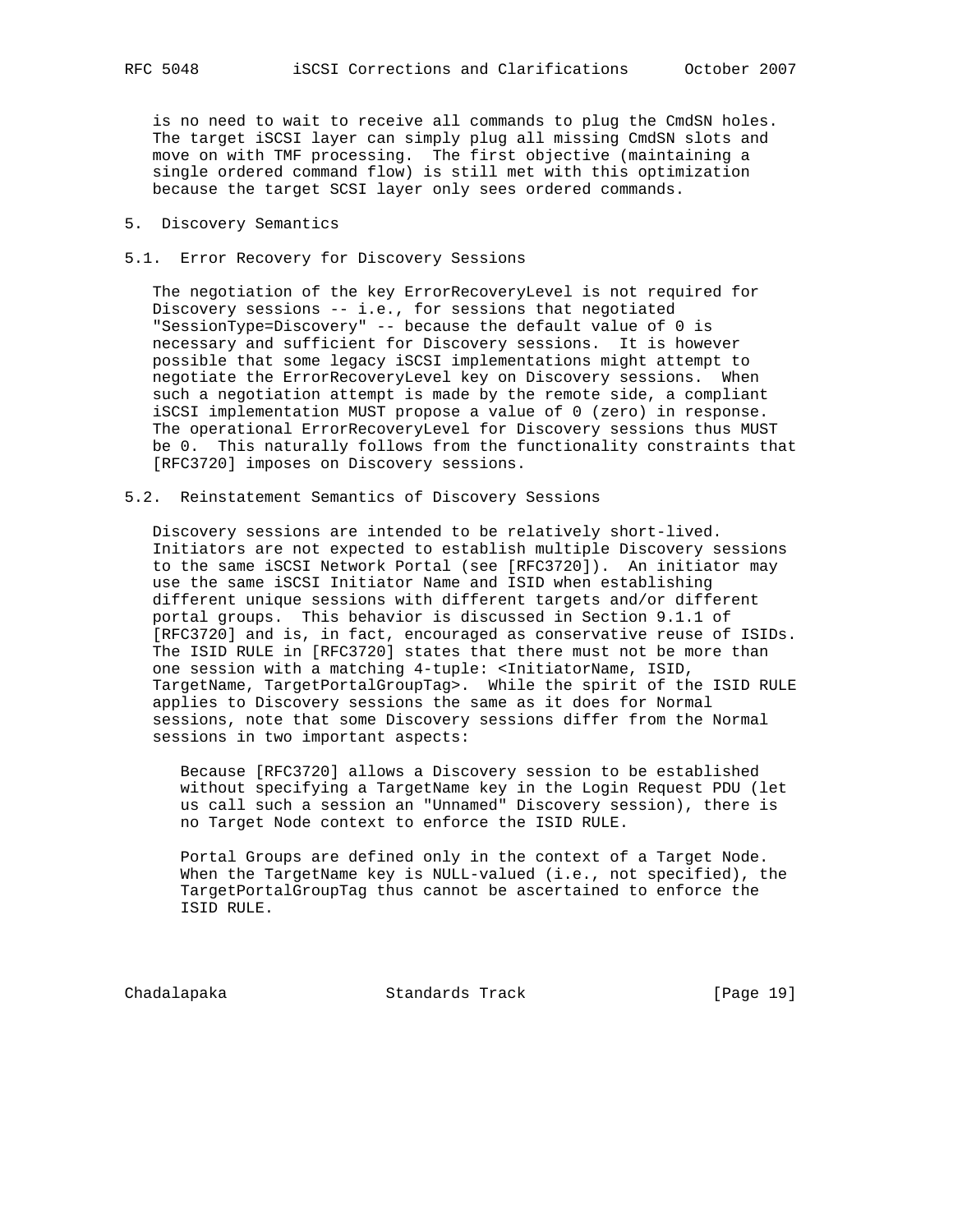is no need to wait to receive all commands to plug the CmdSN holes. The target iSCSI layer can simply plug all missing CmdSN slots and move on with TMF processing. The first objective (maintaining a single ordered command flow) is still met with this optimization because the target SCSI layer only sees ordered commands.

## 5. Discovery Semantics

#### 5.1. Error Recovery for Discovery Sessions

 The negotiation of the key ErrorRecoveryLevel is not required for Discovery sessions -- i.e., for sessions that negotiated "SessionType=Discovery" -- because the default value of 0 is necessary and sufficient for Discovery sessions. It is however possible that some legacy iSCSI implementations might attempt to negotiate the ErrorRecoveryLevel key on Discovery sessions. When such a negotiation attempt is made by the remote side, a compliant iSCSI implementation MUST propose a value of 0 (zero) in response. The operational ErrorRecoveryLevel for Discovery sessions thus MUST be 0. This naturally follows from the functionality constraints that [RFC3720] imposes on Discovery sessions.

#### 5.2. Reinstatement Semantics of Discovery Sessions

 Discovery sessions are intended to be relatively short-lived. Initiators are not expected to establish multiple Discovery sessions to the same iSCSI Network Portal (see [RFC3720]). An initiator may use the same iSCSI Initiator Name and ISID when establishing different unique sessions with different targets and/or different portal groups. This behavior is discussed in Section 9.1.1 of [RFC3720] and is, in fact, encouraged as conservative reuse of ISIDs. The ISID RULE in [RFC3720] states that there must not be more than one session with a matching 4-tuple: <InitiatorName, ISID, TargetName, TargetPortalGroupTag>. While the spirit of the ISID RULE applies to Discovery sessions the same as it does for Normal sessions, note that some Discovery sessions differ from the Normal sessions in two important aspects:

 Because [RFC3720] allows a Discovery session to be established without specifying a TargetName key in the Login Request PDU (let us call such a session an "Unnamed" Discovery session), there is no Target Node context to enforce the ISID RULE.

 Portal Groups are defined only in the context of a Target Node. When the TargetName key is NULL-valued (i.e., not specified), the TargetPortalGroupTag thus cannot be ascertained to enforce the ISID RULE.

Chadalapaka Standards Track [Page 19]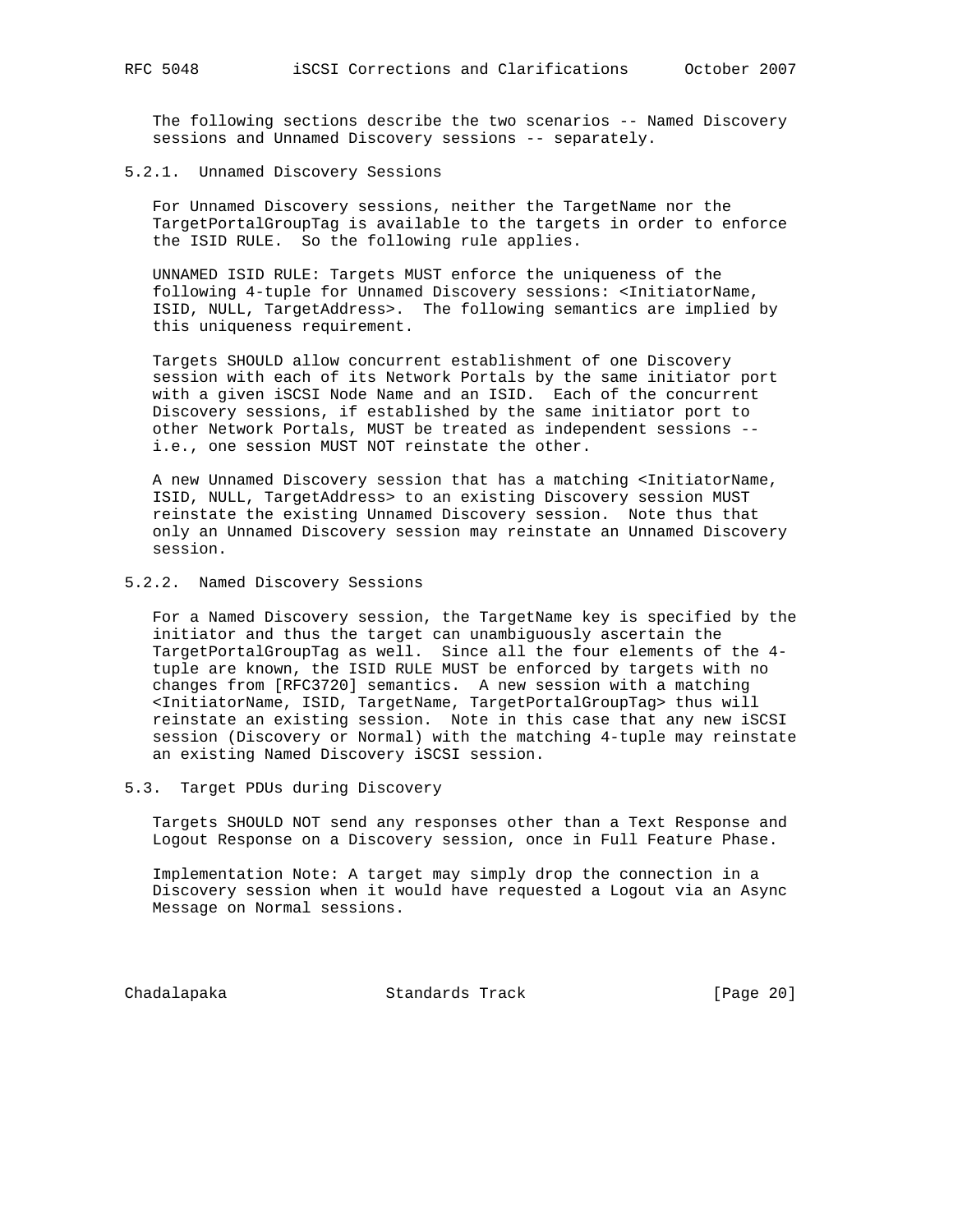The following sections describe the two scenarios -- Named Discovery sessions and Unnamed Discovery sessions -- separately.

5.2.1. Unnamed Discovery Sessions

 For Unnamed Discovery sessions, neither the TargetName nor the TargetPortalGroupTag is available to the targets in order to enforce the ISID RULE. So the following rule applies.

 UNNAMED ISID RULE: Targets MUST enforce the uniqueness of the following 4-tuple for Unnamed Discovery sessions: <InitiatorName, ISID, NULL, TargetAddress>. The following semantics are implied by this uniqueness requirement.

 Targets SHOULD allow concurrent establishment of one Discovery session with each of its Network Portals by the same initiator port with a given iSCSI Node Name and an ISID. Each of the concurrent Discovery sessions, if established by the same initiator port to other Network Portals, MUST be treated as independent sessions - i.e., one session MUST NOT reinstate the other.

 A new Unnamed Discovery session that has a matching <InitiatorName, ISID, NULL, TargetAddress> to an existing Discovery session MUST reinstate the existing Unnamed Discovery session. Note thus that only an Unnamed Discovery session may reinstate an Unnamed Discovery session.

## 5.2.2. Named Discovery Sessions

 For a Named Discovery session, the TargetName key is specified by the initiator and thus the target can unambiguously ascertain the TargetPortalGroupTag as well. Since all the four elements of the 4 tuple are known, the ISID RULE MUST be enforced by targets with no changes from [RFC3720] semantics. A new session with a matching <InitiatorName, ISID, TargetName, TargetPortalGroupTag> thus will reinstate an existing session. Note in this case that any new iSCSI session (Discovery or Normal) with the matching 4-tuple may reinstate an existing Named Discovery iSCSI session.

## 5.3. Target PDUs during Discovery

 Targets SHOULD NOT send any responses other than a Text Response and Logout Response on a Discovery session, once in Full Feature Phase.

 Implementation Note: A target may simply drop the connection in a Discovery session when it would have requested a Logout via an Async Message on Normal sessions.

Chadalapaka Standards Track [Page 20]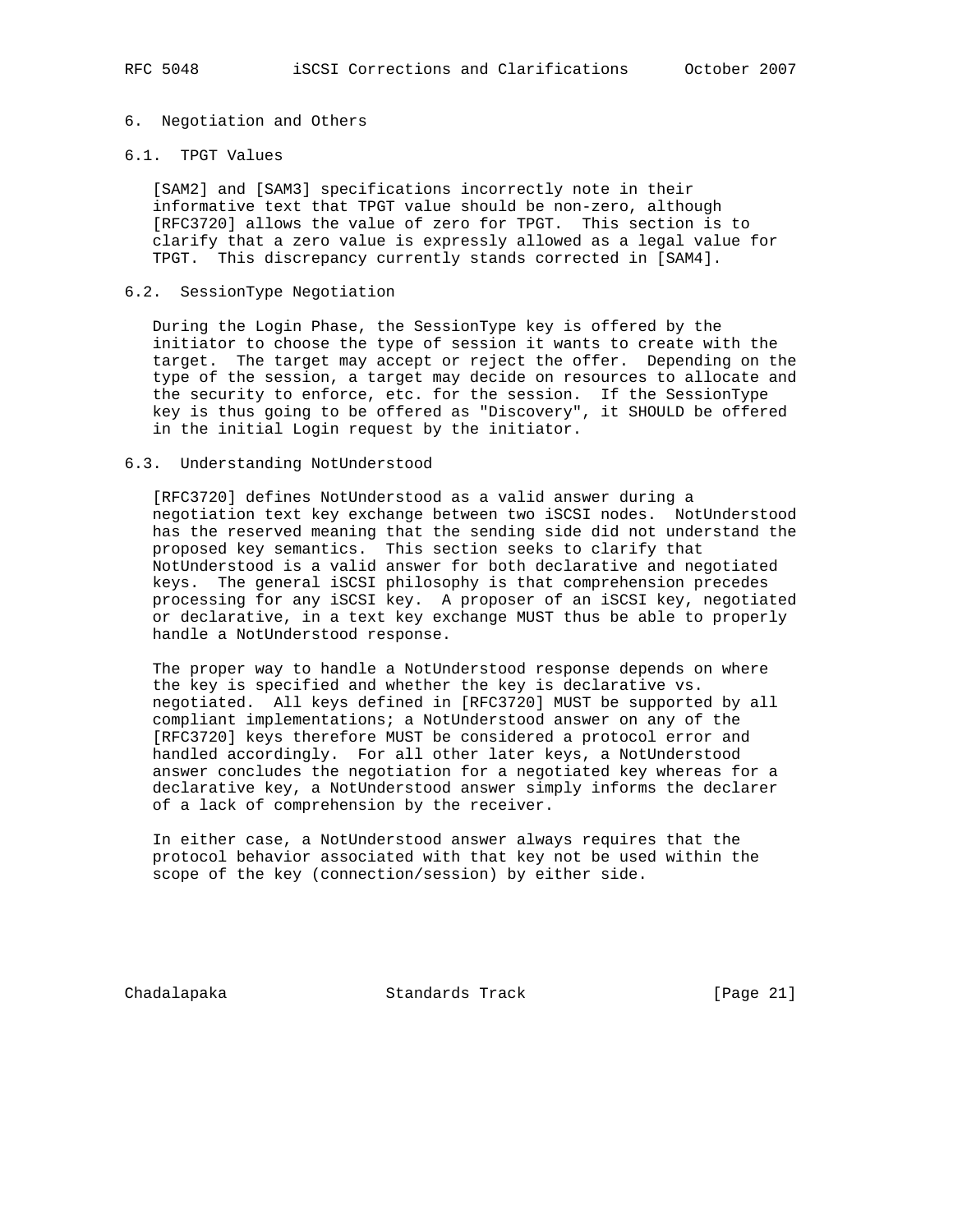## 6. Negotiation and Others

# 6.1. TPGT Values

 [SAM2] and [SAM3] specifications incorrectly note in their informative text that TPGT value should be non-zero, although [RFC3720] allows the value of zero for TPGT. This section is to clarify that a zero value is expressly allowed as a legal value for TPGT. This discrepancy currently stands corrected in [SAM4].

### 6.2. SessionType Negotiation

 During the Login Phase, the SessionType key is offered by the initiator to choose the type of session it wants to create with the target. The target may accept or reject the offer. Depending on the type of the session, a target may decide on resources to allocate and the security to enforce, etc. for the session. If the SessionType key is thus going to be offered as "Discovery", it SHOULD be offered in the initial Login request by the initiator.

#### 6.3. Understanding NotUnderstood

 [RFC3720] defines NotUnderstood as a valid answer during a negotiation text key exchange between two iSCSI nodes. NotUnderstood has the reserved meaning that the sending side did not understand the proposed key semantics. This section seeks to clarify that NotUnderstood is a valid answer for both declarative and negotiated keys. The general iSCSI philosophy is that comprehension precedes processing for any iSCSI key. A proposer of an iSCSI key, negotiated or declarative, in a text key exchange MUST thus be able to properly handle a NotUnderstood response.

 The proper way to handle a NotUnderstood response depends on where the key is specified and whether the key is declarative vs. negotiated. All keys defined in [RFC3720] MUST be supported by all compliant implementations; a NotUnderstood answer on any of the [RFC3720] keys therefore MUST be considered a protocol error and handled accordingly. For all other later keys, a NotUnderstood answer concludes the negotiation for a negotiated key whereas for a declarative key, a NotUnderstood answer simply informs the declarer of a lack of comprehension by the receiver.

 In either case, a NotUnderstood answer always requires that the protocol behavior associated with that key not be used within the scope of the key (connection/session) by either side.

Chadalapaka Standards Track [Page 21]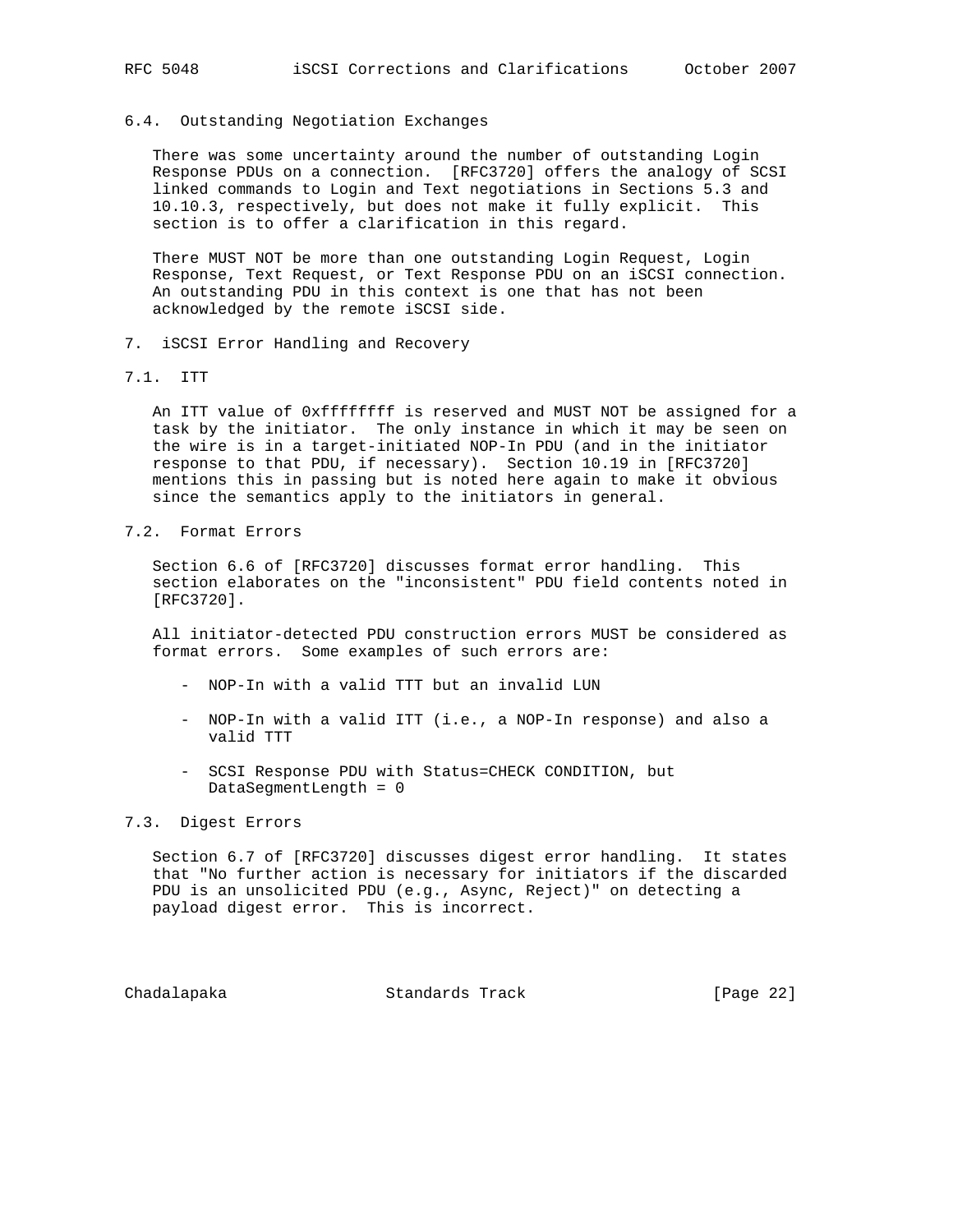#### 6.4. Outstanding Negotiation Exchanges

 There was some uncertainty around the number of outstanding Login Response PDUs on a connection. [RFC3720] offers the analogy of SCSI linked commands to Login and Text negotiations in Sections 5.3 and 10.10.3, respectively, but does not make it fully explicit. This section is to offer a clarification in this regard.

 There MUST NOT be more than one outstanding Login Request, Login Response, Text Request, or Text Response PDU on an iSCSI connection. An outstanding PDU in this context is one that has not been acknowledged by the remote iSCSI side.

- 7. iSCSI Error Handling and Recovery
- 7.1. ITT

 An ITT value of 0xffffffff is reserved and MUST NOT be assigned for a task by the initiator. The only instance in which it may be seen on the wire is in a target-initiated NOP-In PDU (and in the initiator response to that PDU, if necessary). Section 10.19 in [RFC3720] mentions this in passing but is noted here again to make it obvious since the semantics apply to the initiators in general.

7.2. Format Errors

 Section 6.6 of [RFC3720] discusses format error handling. This section elaborates on the "inconsistent" PDU field contents noted in [RFC3720].

 All initiator-detected PDU construction errors MUST be considered as format errors. Some examples of such errors are:

- NOP-In with a valid TTT but an invalid LUN
- NOP-In with a valid ITT (i.e., a NOP-In response) and also a valid TTT
- SCSI Response PDU with Status=CHECK CONDITION, but DataSegmentLength = 0

#### 7.3. Digest Errors

 Section 6.7 of [RFC3720] discusses digest error handling. It states that "No further action is necessary for initiators if the discarded PDU is an unsolicited PDU (e.g., Async, Reject)" on detecting a payload digest error. This is incorrect.

Chadalapaka Standards Track [Page 22]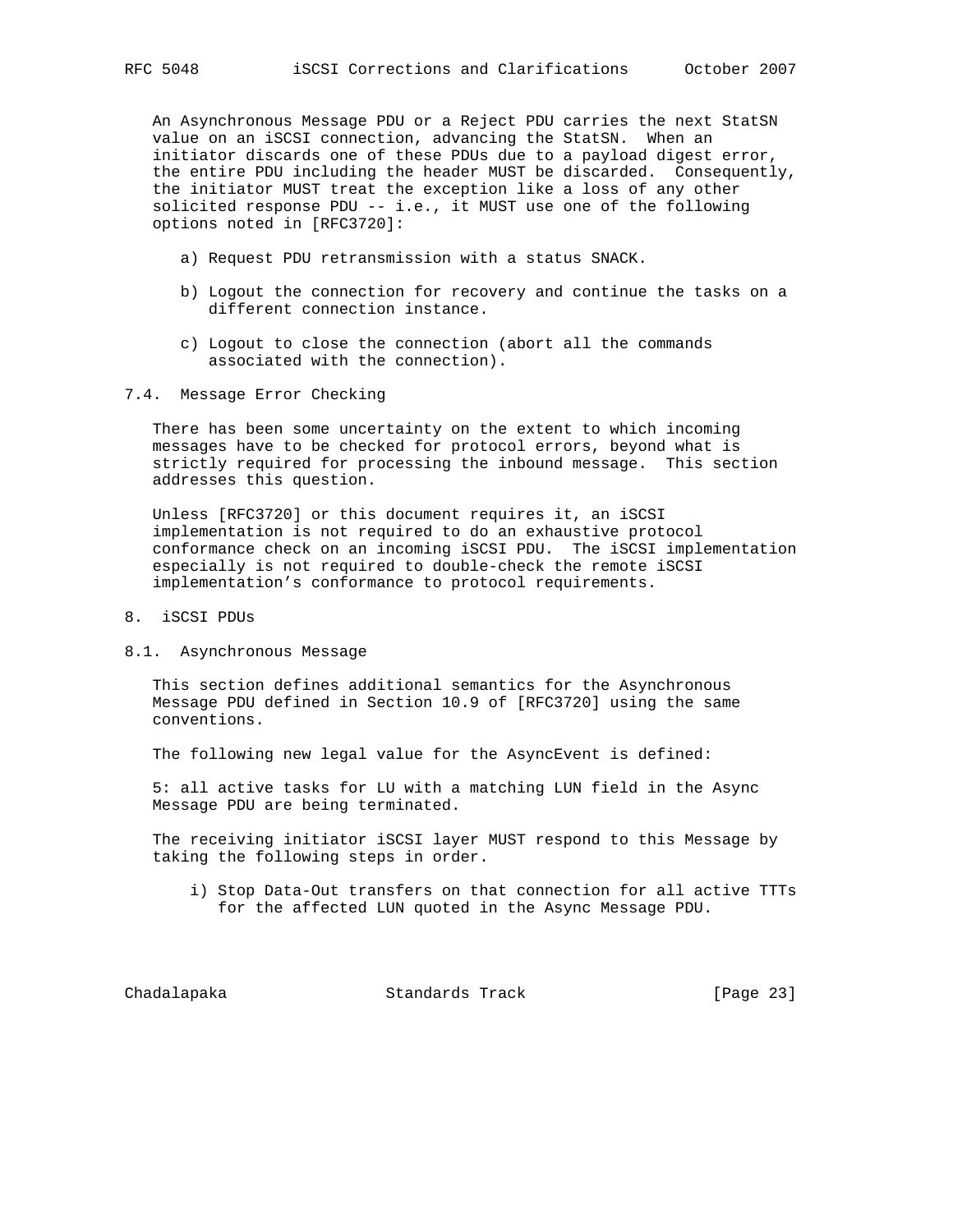An Asynchronous Message PDU or a Reject PDU carries the next StatSN value on an iSCSI connection, advancing the StatSN. When an initiator discards one of these PDUs due to a payload digest error, the entire PDU including the header MUST be discarded. Consequently, the initiator MUST treat the exception like a loss of any other solicited response PDU -- i.e., it MUST use one of the following options noted in [RFC3720]:

- a) Request PDU retransmission with a status SNACK.
- b) Logout the connection for recovery and continue the tasks on a different connection instance.
- c) Logout to close the connection (abort all the commands associated with the connection).
- 7.4. Message Error Checking

 There has been some uncertainty on the extent to which incoming messages have to be checked for protocol errors, beyond what is strictly required for processing the inbound message. This section addresses this question.

 Unless [RFC3720] or this document requires it, an iSCSI implementation is not required to do an exhaustive protocol conformance check on an incoming iSCSI PDU. The iSCSI implementation especially is not required to double-check the remote iSCSI implementation's conformance to protocol requirements.

- 8. iSCSI PDUs
- 8.1. Asynchronous Message

 This section defines additional semantics for the Asynchronous Message PDU defined in Section 10.9 of [RFC3720] using the same conventions.

The following new legal value for the AsyncEvent is defined:

 5: all active tasks for LU with a matching LUN field in the Async Message PDU are being terminated.

 The receiving initiator iSCSI layer MUST respond to this Message by taking the following steps in order.

 i) Stop Data-Out transfers on that connection for all active TTTs for the affected LUN quoted in the Async Message PDU.

Chadalapaka Standards Track [Page 23]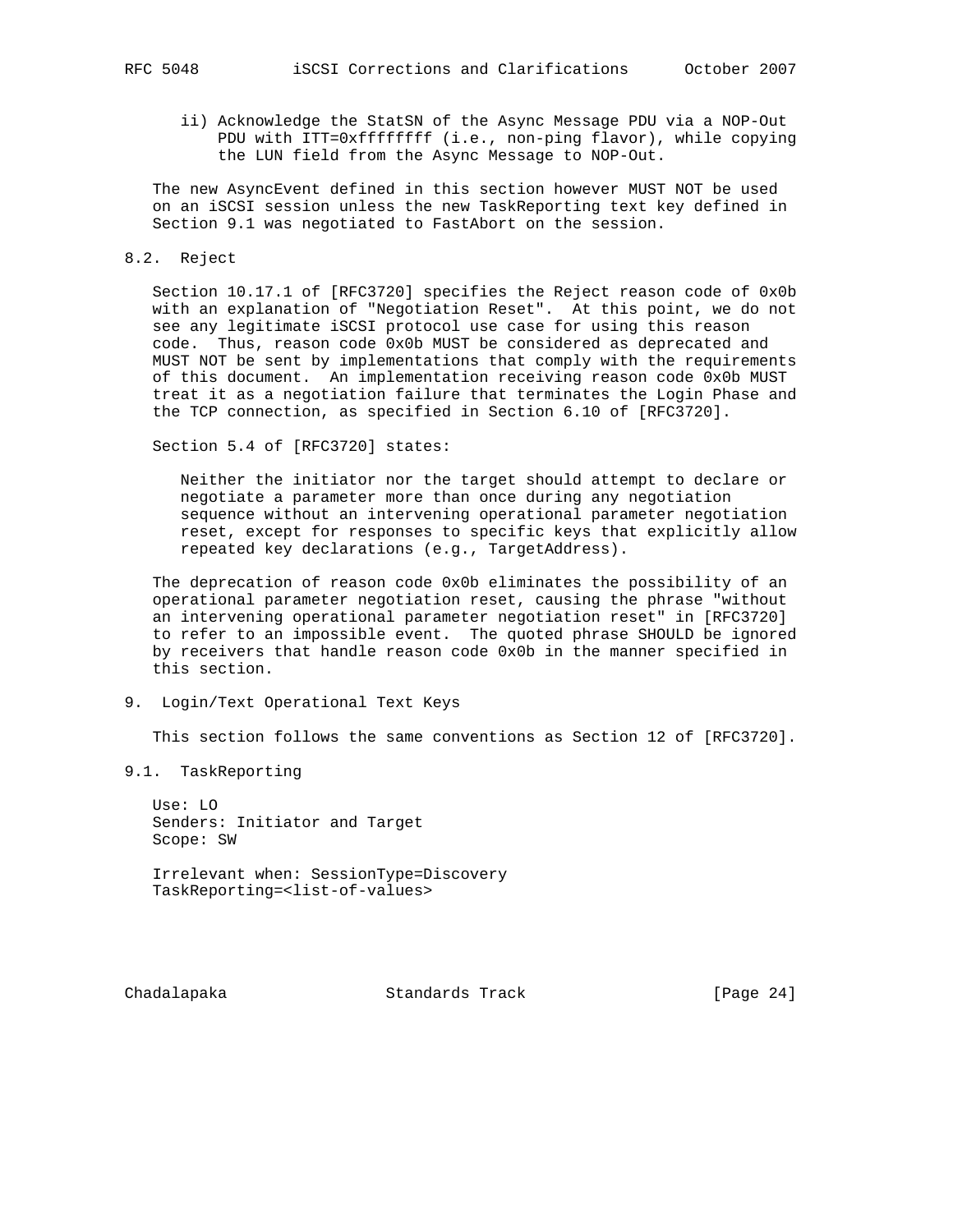ii) Acknowledge the StatSN of the Async Message PDU via a NOP-Out PDU with ITT=0xffffffff (i.e., non-ping flavor), while copying the LUN field from the Async Message to NOP-Out.

 The new AsyncEvent defined in this section however MUST NOT be used on an iSCSI session unless the new TaskReporting text key defined in Section 9.1 was negotiated to FastAbort on the session.

8.2. Reject

 Section 10.17.1 of [RFC3720] specifies the Reject reason code of 0x0b with an explanation of "Negotiation Reset". At this point, we do not see any legitimate iSCSI protocol use case for using this reason code. Thus, reason code 0x0b MUST be considered as deprecated and MUST NOT be sent by implementations that comply with the requirements of this document. An implementation receiving reason code 0x0b MUST treat it as a negotiation failure that terminates the Login Phase and the TCP connection, as specified in Section 6.10 of [RFC3720].

Section 5.4 of [RFC3720] states:

 Neither the initiator nor the target should attempt to declare or negotiate a parameter more than once during any negotiation sequence without an intervening operational parameter negotiation reset, except for responses to specific keys that explicitly allow repeated key declarations (e.g., TargetAddress).

 The deprecation of reason code 0x0b eliminates the possibility of an operational parameter negotiation reset, causing the phrase "without an intervening operational parameter negotiation reset" in [RFC3720] to refer to an impossible event. The quoted phrase SHOULD be ignored by receivers that handle reason code 0x0b in the manner specified in this section.

9. Login/Text Operational Text Keys

This section follows the same conventions as Section 12 of [RFC3720].

9.1. TaskReporting

 Use: LO Senders: Initiator and Target Scope: SW

 Irrelevant when: SessionType=Discovery TaskReporting=<list-of-values>

Chadalapaka Standards Track [Page 24]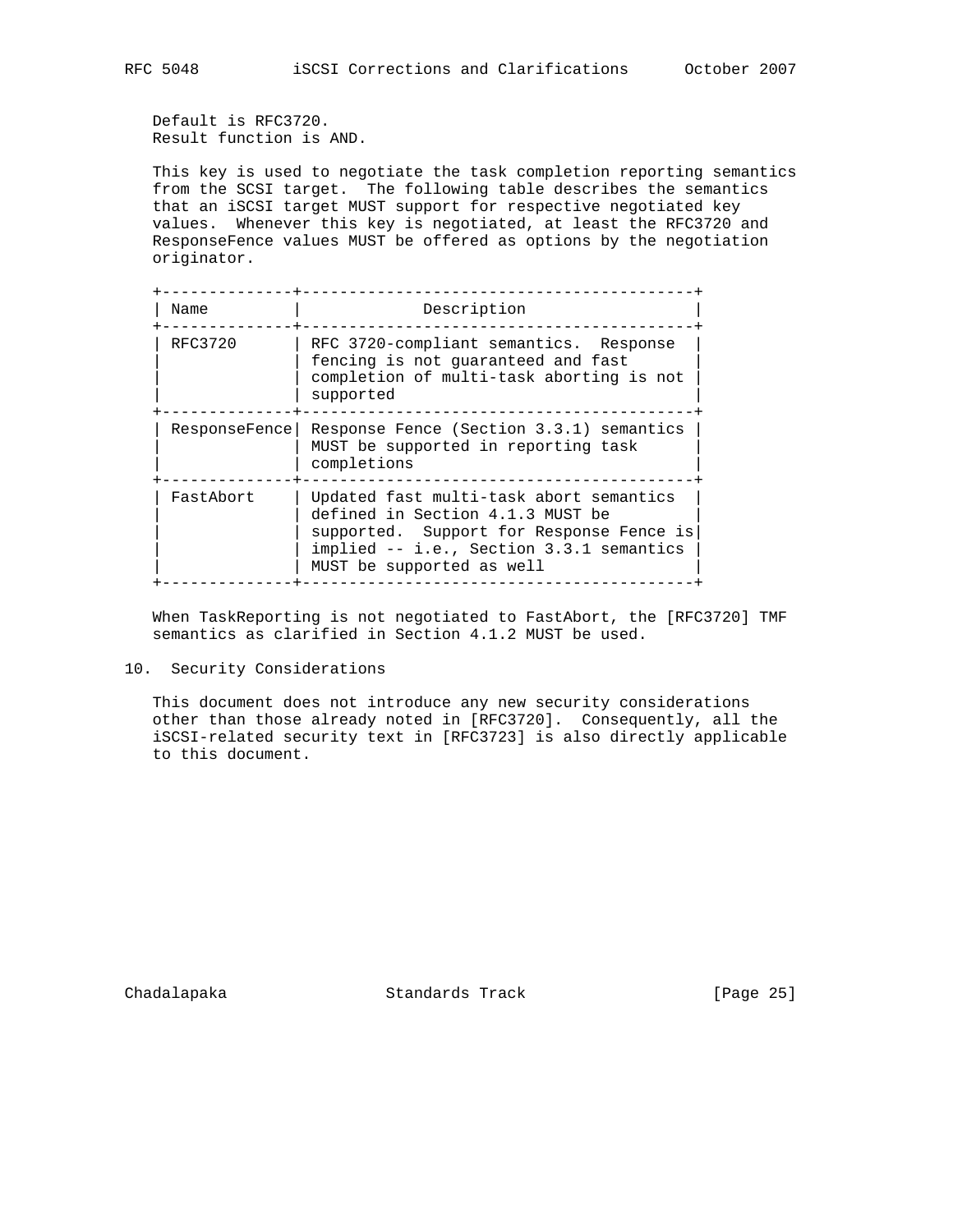Default is RFC3720.

Result function is AND.

 This key is used to negotiate the task completion reporting semantics from the SCSI target. The following table describes the semantics that an iSCSI target MUST support for respective negotiated key values. Whenever this key is negotiated, at least the RFC3720 and ResponseFence values MUST be offered as options by the negotiation originator.

| Name          | Description                                                                                                                                                                                      |
|---------------|--------------------------------------------------------------------------------------------------------------------------------------------------------------------------------------------------|
| RFC3720       | RFC 3720-compliant semantics. Response<br>fencing is not guaranteed and fast<br>completion of multi-task aborting is not<br>supported                                                            |
| ResponseFence | Response Fence (Section 3.3.1) semantics<br>MUST be supported in reporting task<br>completions                                                                                                   |
| FastAbort     | Updated fast multi-task abort semantics<br>defined in Section 4.1.3 MUST be<br>supported. Support for Response Fence is<br>implied -- i.e., Section 3.3.1 semantics<br>MUST be supported as well |

 When TaskReporting is not negotiated to FastAbort, the [RFC3720] TMF semantics as clarified in Section 4.1.2 MUST be used.

10. Security Considerations

 This document does not introduce any new security considerations other than those already noted in [RFC3720]. Consequently, all the iSCSI-related security text in [RFC3723] is also directly applicable to this document.

Chadalapaka Standards Track [Page 25]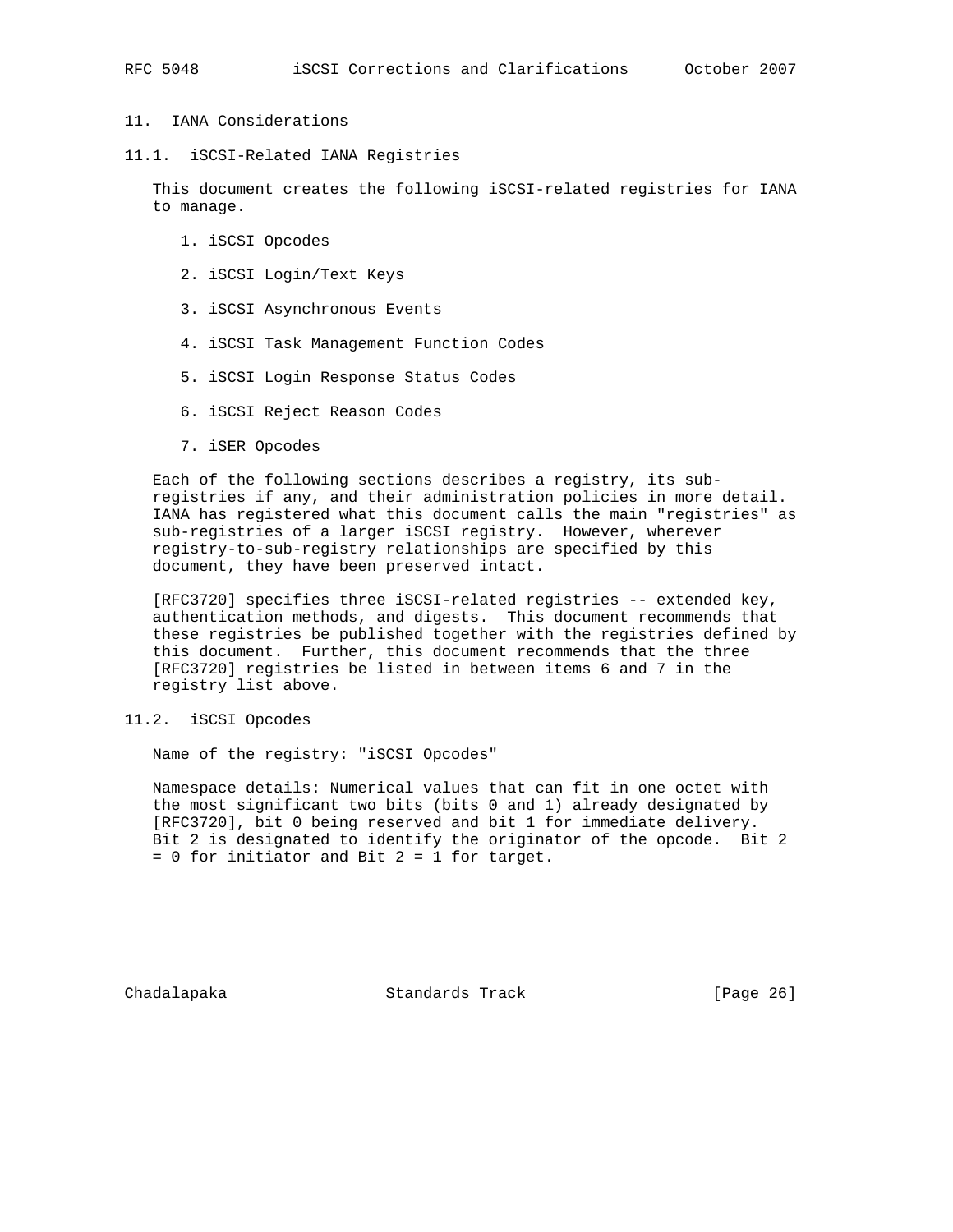# 11. IANA Considerations

11.1. iSCSI-Related IANA Registries

 This document creates the following iSCSI-related registries for IANA to manage.

- 1. iSCSI Opcodes
- 2. iSCSI Login/Text Keys
- 3. iSCSI Asynchronous Events
- 4. iSCSI Task Management Function Codes
- 5. iSCSI Login Response Status Codes
- 6. iSCSI Reject Reason Codes
- 7. iSER Opcodes

 Each of the following sections describes a registry, its sub registries if any, and their administration policies in more detail. IANA has registered what this document calls the main "registries" as sub-registries of a larger iSCSI registry. However, wherever registry-to-sub-registry relationships are specified by this document, they have been preserved intact.

 [RFC3720] specifies three iSCSI-related registries -- extended key, authentication methods, and digests. This document recommends that these registries be published together with the registries defined by this document. Further, this document recommends that the three [RFC3720] registries be listed in between items 6 and 7 in the registry list above.

11.2. iSCSI Opcodes

Name of the registry: "iSCSI Opcodes"

 Namespace details: Numerical values that can fit in one octet with the most significant two bits (bits 0 and 1) already designated by [RFC3720], bit 0 being reserved and bit 1 for immediate delivery. Bit 2 is designated to identify the originator of the opcode. Bit 2 = 0 for initiator and Bit 2 = 1 for target.

Chadalapaka Standards Track [Page 26]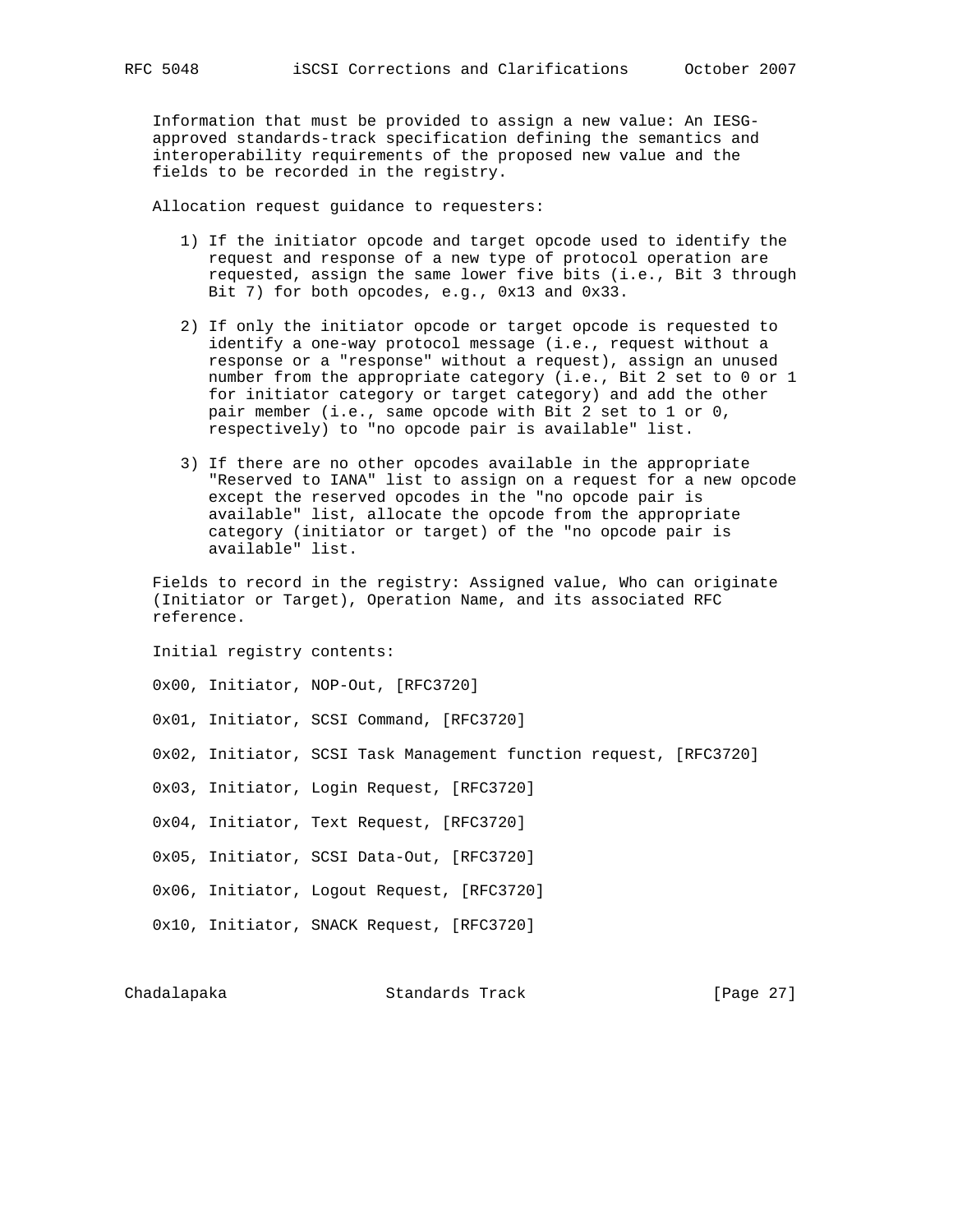Information that must be provided to assign a new value: An IESG approved standards-track specification defining the semantics and interoperability requirements of the proposed new value and the fields to be recorded in the registry.

Allocation request guidance to requesters:

- 1) If the initiator opcode and target opcode used to identify the request and response of a new type of protocol operation are requested, assign the same lower five bits (i.e., Bit 3 through Bit 7) for both opcodes, e.g., 0x13 and 0x33.
- 2) If only the initiator opcode or target opcode is requested to identify a one-way protocol message (i.e., request without a response or a "response" without a request), assign an unused number from the appropriate category (i.e., Bit 2 set to 0 or 1 for initiator category or target category) and add the other pair member (i.e., same opcode with Bit 2 set to 1 or 0, respectively) to "no opcode pair is available" list.
- 3) If there are no other opcodes available in the appropriate "Reserved to IANA" list to assign on a request for a new opcode except the reserved opcodes in the "no opcode pair is available" list, allocate the opcode from the appropriate category (initiator or target) of the "no opcode pair is available" list.

 Fields to record in the registry: Assigned value, Who can originate (Initiator or Target), Operation Name, and its associated RFC reference.

Initial registry contents:

0x00, Initiator, NOP-Out, [RFC3720]

0x01, Initiator, SCSI Command, [RFC3720]

- 0x02, Initiator, SCSI Task Management function request, [RFC3720]
- 0x03, Initiator, Login Request, [RFC3720]
- 0x04, Initiator, Text Request, [RFC3720]
- 0x05, Initiator, SCSI Data-Out, [RFC3720]
- 0x06, Initiator, Logout Request, [RFC3720]
- 0x10, Initiator, SNACK Request, [RFC3720]

Chadalapaka Standards Track [Page 27]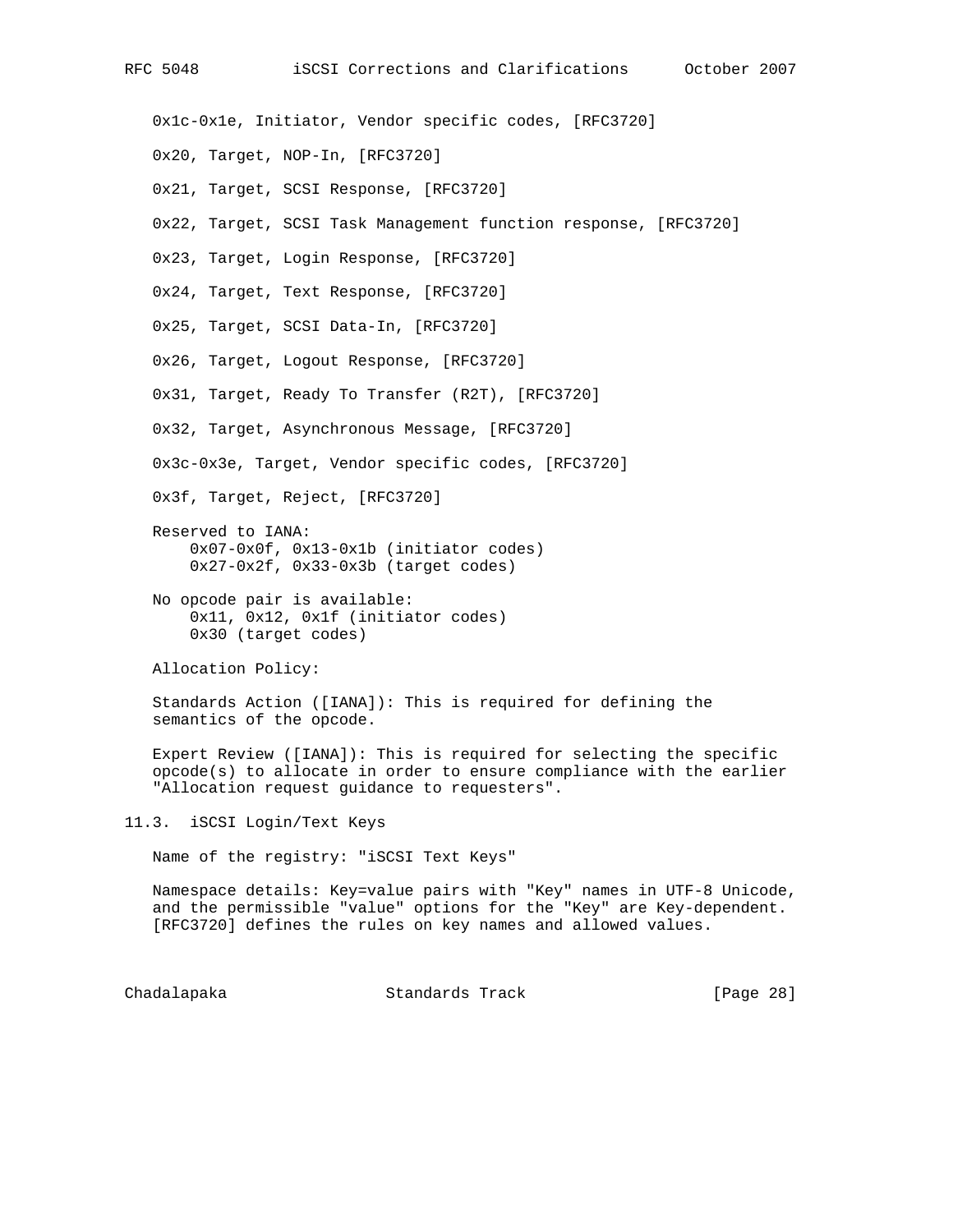0x1c-0x1e, Initiator, Vendor specific codes, [RFC3720] 0x20, Target, NOP-In, [RFC3720] 0x21, Target, SCSI Response, [RFC3720] 0x22, Target, SCSI Task Management function response, [RFC3720] 0x23, Target, Login Response, [RFC3720] 0x24, Target, Text Response, [RFC3720] 0x25, Target, SCSI Data-In, [RFC3720] 0x26, Target, Logout Response, [RFC3720] 0x31, Target, Ready To Transfer (R2T), [RFC3720] 0x32, Target, Asynchronous Message, [RFC3720] 0x3c-0x3e, Target, Vendor specific codes, [RFC3720] 0x3f, Target, Reject, [RFC3720] Reserved to IANA: 0x07-0x0f, 0x13-0x1b (initiator codes) 0x27-0x2f, 0x33-0x3b (target codes) No opcode pair is available: 0x11, 0x12, 0x1f (initiator codes) 0x30 (target codes) Allocation Policy: Standards Action ([IANA]): This is required for defining the semantics of the opcode.

RFC 5048 iSCSI Corrections and Clarifications October 2007

 Expert Review ([IANA]): This is required for selecting the specific opcode(s) to allocate in order to ensure compliance with the earlier "Allocation request guidance to requesters".

11.3. iSCSI Login/Text Keys

Name of the registry: "iSCSI Text Keys"

 Namespace details: Key=value pairs with "Key" names in UTF-8 Unicode, and the permissible "value" options for the "Key" are Key-dependent. [RFC3720] defines the rules on key names and allowed values.

Chadalapaka Standards Track [Page 28]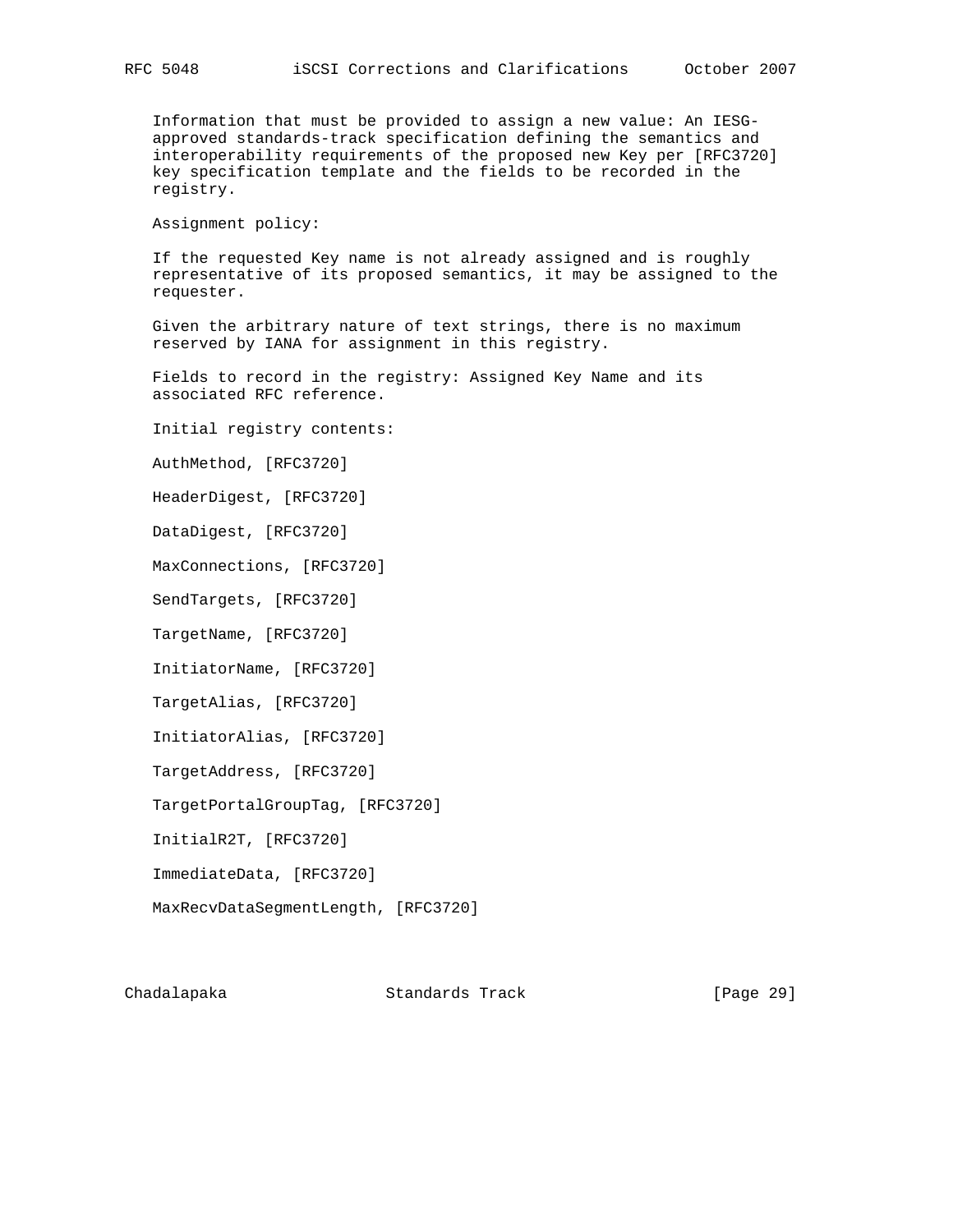Information that must be provided to assign a new value: An IESG approved standards-track specification defining the semantics and interoperability requirements of the proposed new Key per [RFC3720] key specification template and the fields to be recorded in the registry.

Assignment policy:

 If the requested Key name is not already assigned and is roughly representative of its proposed semantics, it may be assigned to the requester.

 Given the arbitrary nature of text strings, there is no maximum reserved by IANA for assignment in this registry.

 Fields to record in the registry: Assigned Key Name and its associated RFC reference.

Initial registry contents:

AuthMethod, [RFC3720]

HeaderDigest, [RFC3720]

DataDigest, [RFC3720]

MaxConnections, [RFC3720]

SendTargets, [RFC3720]

TargetName, [RFC3720]

InitiatorName, [RFC3720]

TargetAlias, [RFC3720]

InitiatorAlias, [RFC3720]

TargetAddress, [RFC3720]

TargetPortalGroupTag, [RFC3720]

InitialR2T, [RFC3720]

ImmediateData, [RFC3720]

MaxRecvDataSegmentLength, [RFC3720]

Chadalapaka Standards Track [Page 29]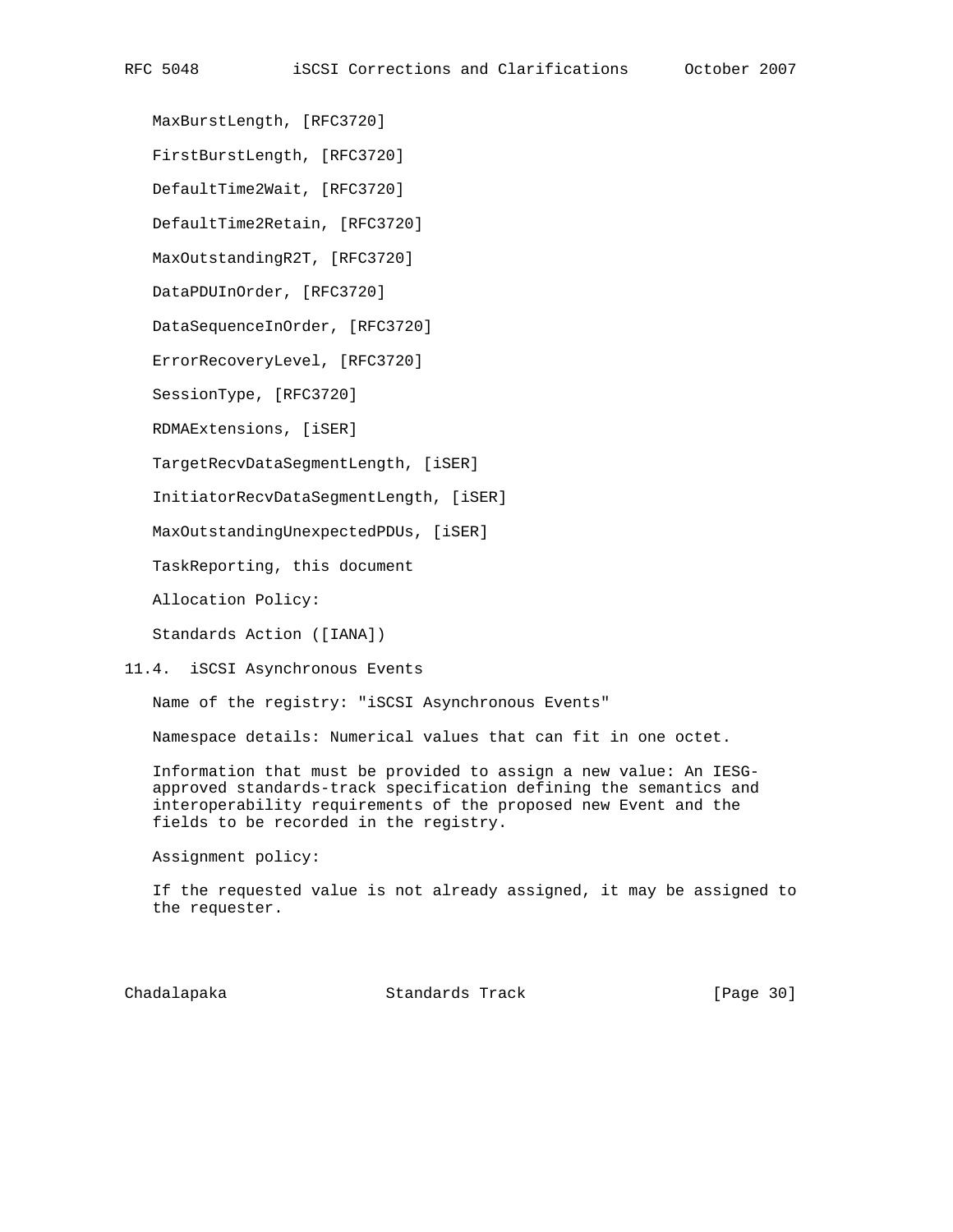MaxBurstLength, [RFC3720]

FirstBurstLength, [RFC3720]

DefaultTime2Wait, [RFC3720]

DefaultTime2Retain, [RFC3720]

MaxOutstandingR2T, [RFC3720]

DataPDUInOrder, [RFC3720]

DataSequenceInOrder, [RFC3720]

ErrorRecoveryLevel, [RFC3720]

SessionType, [RFC3720]

RDMAExtensions, [iSER]

TargetRecvDataSegmentLength, [iSER]

InitiatorRecvDataSegmentLength, [iSER]

MaxOutstandingUnexpectedPDUs, [iSER]

TaskReporting, this document

Allocation Policy:

Standards Action ([IANA])

### 11.4. iSCSI Asynchronous Events

Name of the registry: "iSCSI Asynchronous Events"

Namespace details: Numerical values that can fit in one octet.

 Information that must be provided to assign a new value: An IESG approved standards-track specification defining the semantics and interoperability requirements of the proposed new Event and the fields to be recorded in the registry.

Assignment policy:

 If the requested value is not already assigned, it may be assigned to the requester.

Chadalapaka Standards Track [Page 30]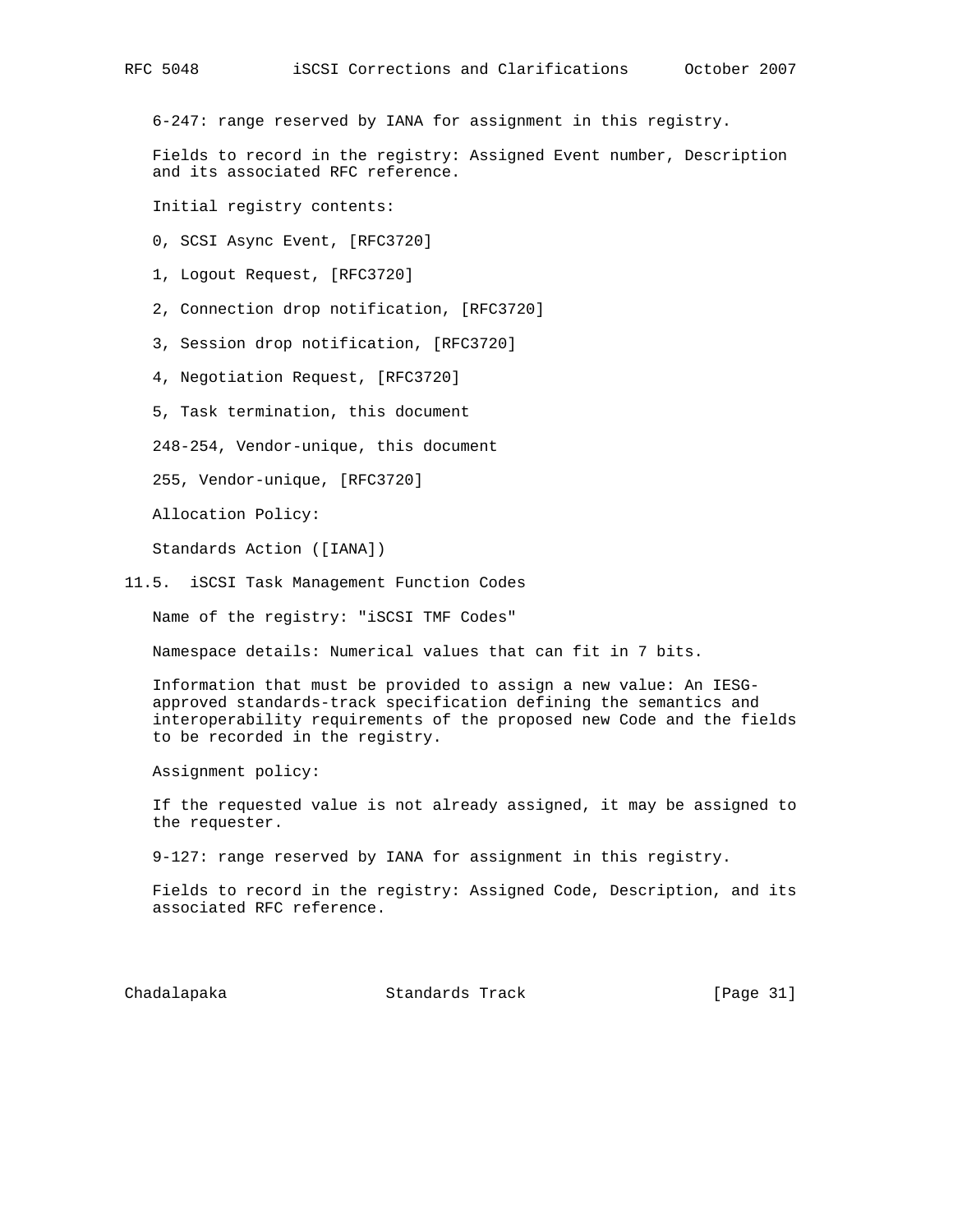6-247: range reserved by IANA for assignment in this registry.

 Fields to record in the registry: Assigned Event number, Description and its associated RFC reference.

Initial registry contents:

0, SCSI Async Event, [RFC3720]

1, Logout Request, [RFC3720]

- 2, Connection drop notification, [RFC3720]
- 3, Session drop notification, [RFC3720]
- 4, Negotiation Request, [RFC3720]
- 5, Task termination, this document
- 248-254, Vendor-unique, this document

255, Vendor-unique, [RFC3720]

Allocation Policy:

Standards Action ([IANA])

11.5. iSCSI Task Management Function Codes

Name of the registry: "iSCSI TMF Codes"

Namespace details: Numerical values that can fit in 7 bits.

 Information that must be provided to assign a new value: An IESG approved standards-track specification defining the semantics and interoperability requirements of the proposed new Code and the fields to be recorded in the registry.

Assignment policy:

 If the requested value is not already assigned, it may be assigned to the requester.

9-127: range reserved by IANA for assignment in this registry.

 Fields to record in the registry: Assigned Code, Description, and its associated RFC reference.

Chadalapaka Standards Track [Page 31]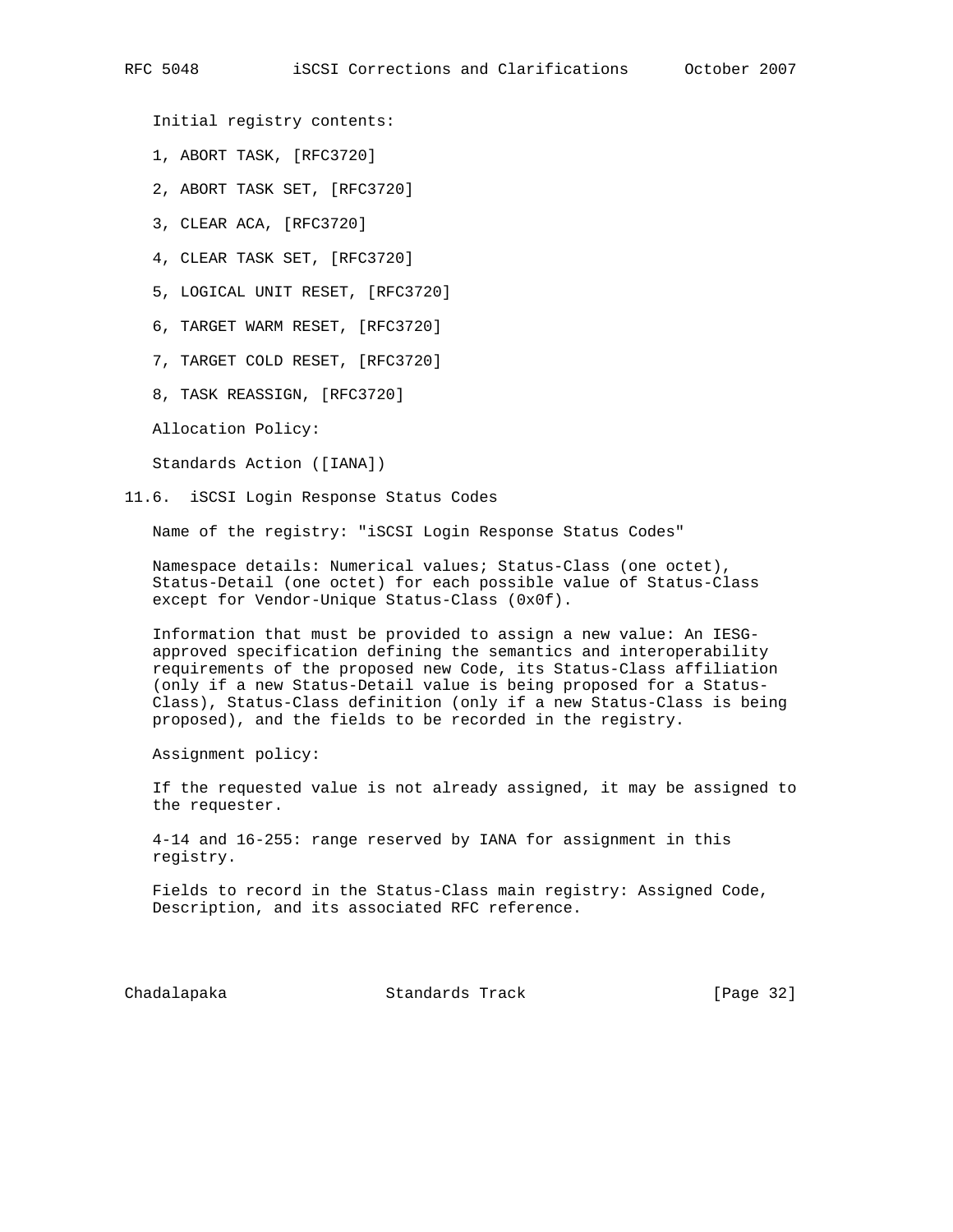Initial registry contents:

- 1, ABORT TASK, [RFC3720]
- 2, ABORT TASK SET, [RFC3720]
- 3, CLEAR ACA, [RFC3720]
- 4, CLEAR TASK SET, [RFC3720]
- 5, LOGICAL UNIT RESET, [RFC3720]
- 6, TARGET WARM RESET, [RFC3720]
- 7, TARGET COLD RESET, [RFC3720]
- 8, TASK REASSIGN, [RFC3720]

Allocation Policy:

Standards Action ([IANA])

#### 11.6. iSCSI Login Response Status Codes

Name of the registry: "iSCSI Login Response Status Codes"

 Namespace details: Numerical values; Status-Class (one octet), Status-Detail (one octet) for each possible value of Status-Class except for Vendor-Unique Status-Class (0x0f).

 Information that must be provided to assign a new value: An IESG approved specification defining the semantics and interoperability requirements of the proposed new Code, its Status-Class affiliation (only if a new Status-Detail value is being proposed for a Status- Class), Status-Class definition (only if a new Status-Class is being proposed), and the fields to be recorded in the registry.

Assignment policy:

 If the requested value is not already assigned, it may be assigned to the requester.

 4-14 and 16-255: range reserved by IANA for assignment in this registry.

 Fields to record in the Status-Class main registry: Assigned Code, Description, and its associated RFC reference.

Chadalapaka Standards Track [Page 32]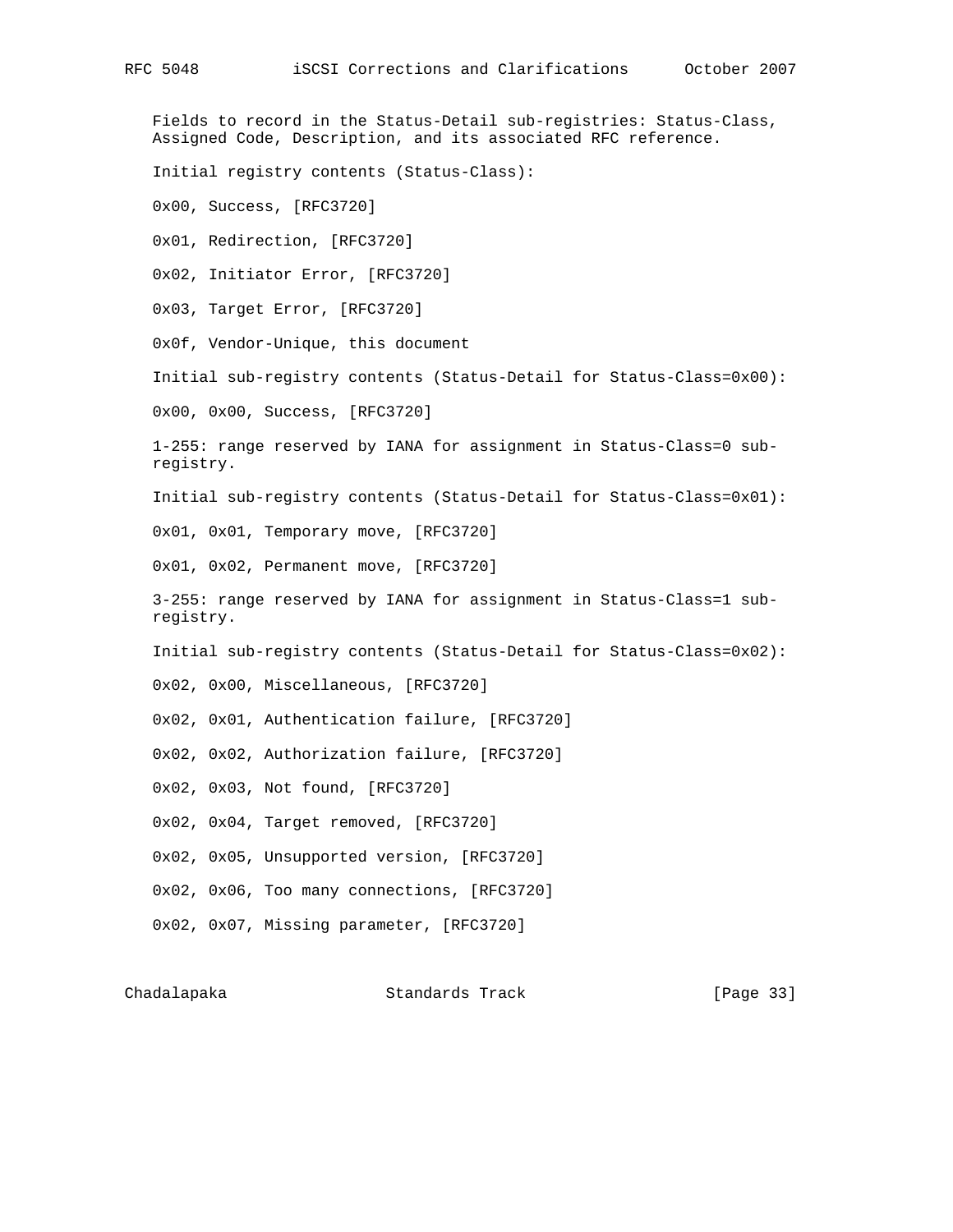Fields to record in the Status-Detail sub-registries: Status-Class, Assigned Code, Description, and its associated RFC reference. Initial registry contents (Status-Class): 0x00, Success, [RFC3720] 0x01, Redirection, [RFC3720] 0x02, Initiator Error, [RFC3720] 0x03, Target Error, [RFC3720] 0x0f, Vendor-Unique, this document Initial sub-registry contents (Status-Detail for Status-Class=0x00): 0x00, 0x00, Success, [RFC3720] 1-255: range reserved by IANA for assignment in Status-Class=0 sub registry. Initial sub-registry contents (Status-Detail for Status-Class=0x01): 0x01, 0x01, Temporary move, [RFC3720] 0x01, 0x02, Permanent move, [RFC3720] 3-255: range reserved by IANA for assignment in Status-Class=1 sub registry. Initial sub-registry contents (Status-Detail for Status-Class=0x02): 0x02, 0x00, Miscellaneous, [RFC3720] 0x02, 0x01, Authentication failure, [RFC3720] 0x02, 0x02, Authorization failure, [RFC3720] 0x02, 0x03, Not found, [RFC3720] 0x02, 0x04, Target removed, [RFC3720] 0x02, 0x05, Unsupported version, [RFC3720] 0x02, 0x06, Too many connections, [RFC3720] 0x02, 0x07, Missing parameter, [RFC3720]

Chadalapaka Standards Track [Page 33]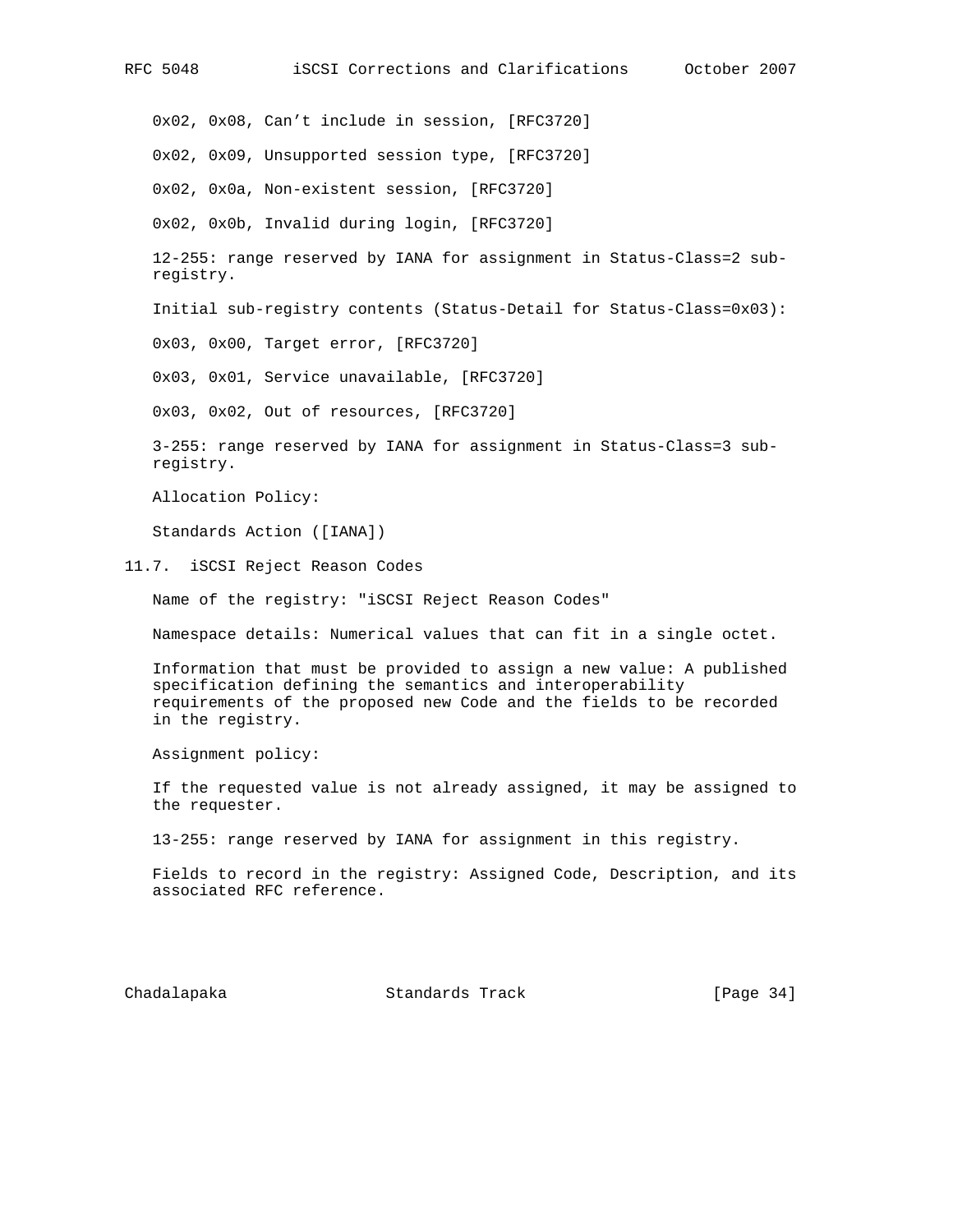0x02, 0x08, Can't include in session, [RFC3720]

0x02, 0x09, Unsupported session type, [RFC3720]

0x02, 0x0a, Non-existent session, [RFC3720]

0x02, 0x0b, Invalid during login, [RFC3720]

 12-255: range reserved by IANA for assignment in Status-Class=2 sub registry.

Initial sub-registry contents (Status-Detail for Status-Class=0x03):

0x03, 0x00, Target error, [RFC3720]

0x03, 0x01, Service unavailable, [RFC3720]

0x03, 0x02, Out of resources, [RFC3720]

 3-255: range reserved by IANA for assignment in Status-Class=3 sub registry.

Allocation Policy:

Standards Action ([IANA])

11.7. iSCSI Reject Reason Codes

Name of the registry: "iSCSI Reject Reason Codes"

Namespace details: Numerical values that can fit in a single octet.

 Information that must be provided to assign a new value: A published specification defining the semantics and interoperability requirements of the proposed new Code and the fields to be recorded in the registry.

Assignment policy:

 If the requested value is not already assigned, it may be assigned to the requester.

13-255: range reserved by IANA for assignment in this registry.

 Fields to record in the registry: Assigned Code, Description, and its associated RFC reference.

Chadalapaka Standards Track [Page 34]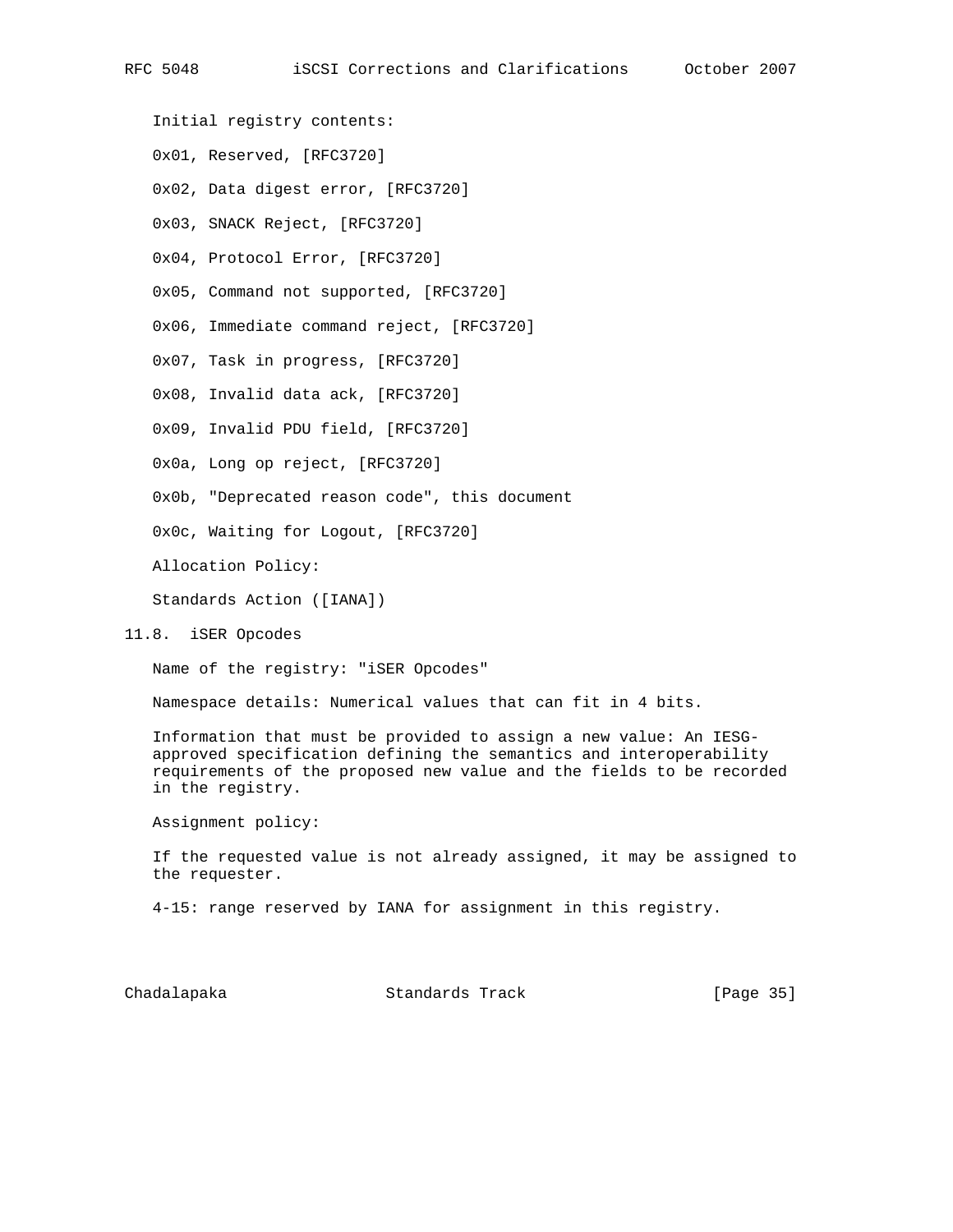Initial registry contents:

- 0x01, Reserved, [RFC3720]
- 0x02, Data digest error, [RFC3720]
- 0x03, SNACK Reject, [RFC3720]
- 0x04, Protocol Error, [RFC3720]
- 0x05, Command not supported, [RFC3720]
- 0x06, Immediate command reject, [RFC3720]
- 0x07, Task in progress, [RFC3720]
- 0x08, Invalid data ack, [RFC3720]
- 0x09, Invalid PDU field, [RFC3720]
- 0x0a, Long op reject, [RFC3720]
- 0x0b, "Deprecated reason code", this document
- 0x0c, Waiting for Logout, [RFC3720]

Allocation Policy:

Standards Action ([IANA])

#### 11.8. iSER Opcodes

Name of the registry: "iSER Opcodes"

Namespace details: Numerical values that can fit in 4 bits.

 Information that must be provided to assign a new value: An IESG approved specification defining the semantics and interoperability requirements of the proposed new value and the fields to be recorded in the registry.

Assignment policy:

 If the requested value is not already assigned, it may be assigned to the requester.

4-15: range reserved by IANA for assignment in this registry.

Chadalapaka Standards Track [Page 35]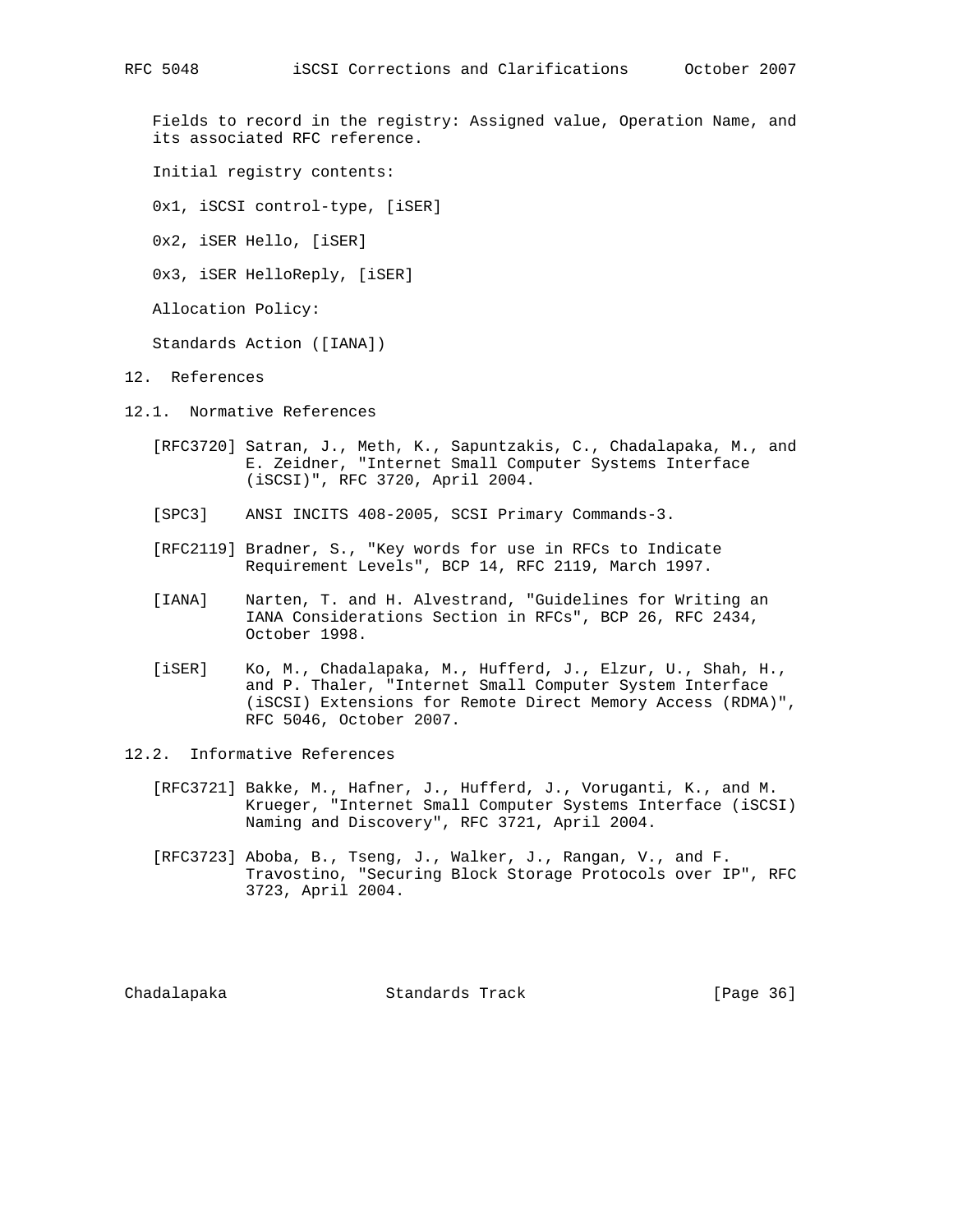Fields to record in the registry: Assigned value, Operation Name, and its associated RFC reference.

Initial registry contents:

0x1, iSCSI control-type, [iSER]

0x2, iSER Hello, [iSER]

0x3, iSER HelloReply, [iSER]

Allocation Policy:

Standards Action ([IANA])

- 12. References
- 12.1. Normative References
	- [RFC3720] Satran, J., Meth, K., Sapuntzakis, C., Chadalapaka, M., and E. Zeidner, "Internet Small Computer Systems Interface (iSCSI)", RFC 3720, April 2004.
	- [SPC3] ANSI INCITS 408-2005, SCSI Primary Commands-3.
	- [RFC2119] Bradner, S., "Key words for use in RFCs to Indicate Requirement Levels", BCP 14, RFC 2119, March 1997.
	- [IANA] Narten, T. and H. Alvestrand, "Guidelines for Writing an IANA Considerations Section in RFCs", BCP 26, RFC 2434, October 1998.
	- [iSER] Ko, M., Chadalapaka, M., Hufferd, J., Elzur, U., Shah, H., and P. Thaler, "Internet Small Computer System Interface (iSCSI) Extensions for Remote Direct Memory Access (RDMA)", RFC 5046, October 2007.
- 12.2. Informative References
	- [RFC3721] Bakke, M., Hafner, J., Hufferd, J., Voruganti, K., and M. Krueger, "Internet Small Computer Systems Interface (iSCSI) Naming and Discovery", RFC 3721, April 2004.
	- [RFC3723] Aboba, B., Tseng, J., Walker, J., Rangan, V., and F. Travostino, "Securing Block Storage Protocols over IP", RFC 3723, April 2004.

Chadalapaka Standards Track [Page 36]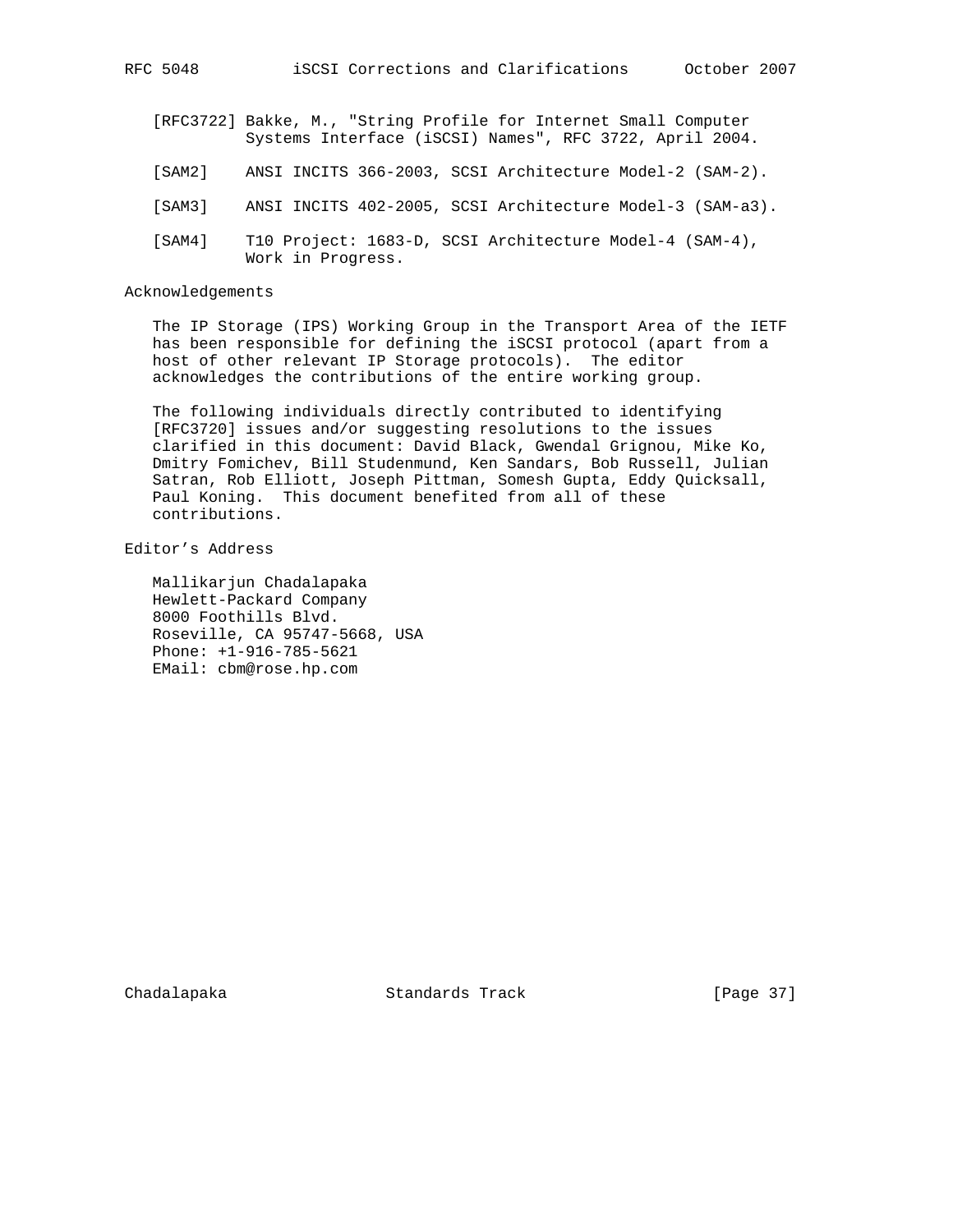- [RFC3722] Bakke, M., "String Profile for Internet Small Computer Systems Interface (iSCSI) Names", RFC 3722, April 2004.
- [SAM2] ANSI INCITS 366-2003, SCSI Architecture Model-2 (SAM-2).
- [SAM3] ANSI INCITS 402-2005, SCSI Architecture Model-3 (SAM-a3).
- [SAM4] T10 Project: 1683-D, SCSI Architecture Model-4 (SAM-4), Work in Progress.

Acknowledgements

 The IP Storage (IPS) Working Group in the Transport Area of the IETF has been responsible for defining the iSCSI protocol (apart from a host of other relevant IP Storage protocols). The editor acknowledges the contributions of the entire working group.

 The following individuals directly contributed to identifying [RFC3720] issues and/or suggesting resolutions to the issues clarified in this document: David Black, Gwendal Grignou, Mike Ko, Dmitry Fomichev, Bill Studenmund, Ken Sandars, Bob Russell, Julian Satran, Rob Elliott, Joseph Pittman, Somesh Gupta, Eddy Quicksall, Paul Koning. This document benefited from all of these contributions.

Editor's Address

 Mallikarjun Chadalapaka Hewlett-Packard Company 8000 Foothills Blvd. Roseville, CA 95747-5668, USA Phone: +1-916-785-5621 EMail: cbm@rose.hp.com

Chadalapaka Standards Track [Page 37]